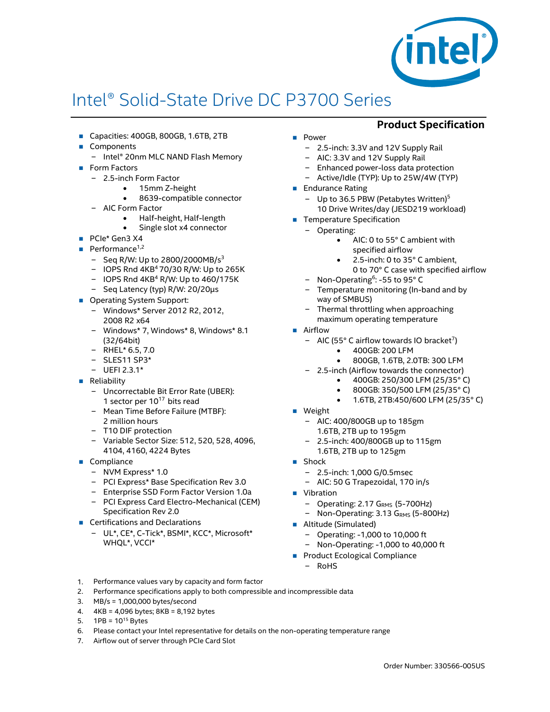

## Intel® Solid-State Drive DC P3700 Series

- Capacities: 400GB, 800GB, 1.6TB, 2TB
- Components
	- Intel® 20nm MLC NAND Flash Memory
- Form Factors
	- 2.5-inch Form Factor
		- 15mm Z-height
		- 8639-compatible connector
	- AIC Form Factor
		- Half-height, Half-length
		- Single slot x4 connector
- PCle\* Gen3 X4
- Performance<sup>1,2</sup>
	- $-$  Seq R/W: Up to 2800/2000MB/s<sup>3</sup>
	- $-$  IOPS Rnd 4KB<sup>4</sup> 70/30 R/W: Up to 265K
	- $-$  IOPS Rnd 4KB<sup>4</sup> R/W: Up to 460/175K
	- Seq Latency (typ) R/W: 20/20µs
- **Derating System Support:** 
	- Windows\* Server 2012 R2, 2012, 2008 R2 x64
	- Windows\* 7, Windows\* 8, Windows\* 8.1 (32/64bit)
	- RHEL\* 6.5, 7.0
	- SLES11 SP3\*
	- $-$  UEFI 2.3.1\*
- **Reliability** 
	- Uncorrectable Bit Error Rate (UBER): 1 sector per  $10^{17}$  bits read
	- Mean Time Before Failure (MTBF): 2 million hours
	- T10 DIF protection
	- Variable Sector Size: 512, 520, 528, 4096, 4104, 4160, 4224 Bytes
- Compliance
	- NVM Express\* 1.0
	- PCI Express\* Base Specification Rev 3.0
	- Enterprise SSD Form Factor Version 1.0a – PCI Express Card Electro-Mechanical (CEM)
- Specification Rev 2.0 ■ Certifications and Declarations
	- UL\*, CE\*, C-Tick\*, BSMI\*, KCC\*, Microsoft\* WHQL\*, VCCI\*
- **Product Specification**
- **Power** 
	- 2.5-inch: 3.3V and 12V Supply Rail
	- AIC: 3.3V and 12V Supply Rail
	- Enhanced power-loss data protection
	- Active/Idle (TYP): Up to 25W/4W (TYP)
- **Endurance Rating** 
	- Up to 36.5 PBW (Petabytes Written)<sup>5</sup> 10 Drive Writes/day (JESD219 workload)
- **Temperature Specification** 
	- Operating:
		- AIC: 0 to 55° C ambient with specified airflow
		- 2.5-inch: 0 to 35° C ambient, 0 to 70° C case with specified airflow
		- Non-Operating<sup>6</sup>: -55 to 95° C
		- Temperature monitoring (In-band and by way of SMBUS)
	- Thermal throttling when approaching maximum operating temperature
- - AIC (55 $^{\circ}$  C airflow towards IO bracket<sup>7</sup>)
		- 400GB: 200 LFM
			- 800GB, 1.6TB, 2.0TB: 300 LFM
	- 2.5-inch (Airflow towards the connector)
		- 400GB: 250/300 LFM (25/35° C)
		- 800GB: 350/500 LFM (25/35° C)
		- 1.6TB, 2TB:450/600 LFM (25/35° C)
- Weight
	- AIC: 400/800GB up to 185gm 1.6TB, 2TB up to 195gm
	- 2.5-inch: 400/800GB up to 115gm 1.6TB, 2TB up to 125gm
- Shock
	- 2.5-inch: 1,000 G/0.5msec
	- AIC: 50 G Trapezoidal, 170 in/s
- **Vibration** 
	- $-$  Operating: 2.17 G<sub>RMS</sub> (5-700Hz)
	- Non-Operating: 3.13 GRMS (5-800Hz)
- **Altitude (Simulated)** 
	- Operating: -1,000 to 10,000 ft
	- Non-Operating: -1,000 to 40,000 ft
- **Product Ecological Compliance** 
	- RoHS
- 1. Performance values vary by capacity and form factor
- 2. Performance specifications apply to both compressible and incompressible data
- 3. MB/s = 1,000,000 bytes/second
- 4. 4KB = 4,096 bytes; 8KB = 8,192 bytes
- 5.  $1PB = 10^{15}$  Bytes
- 6. Please contact your Intel representative for details on the non-operating temperature range
- 7. Airflow out of server through PCIe Card Slot

**Airflow**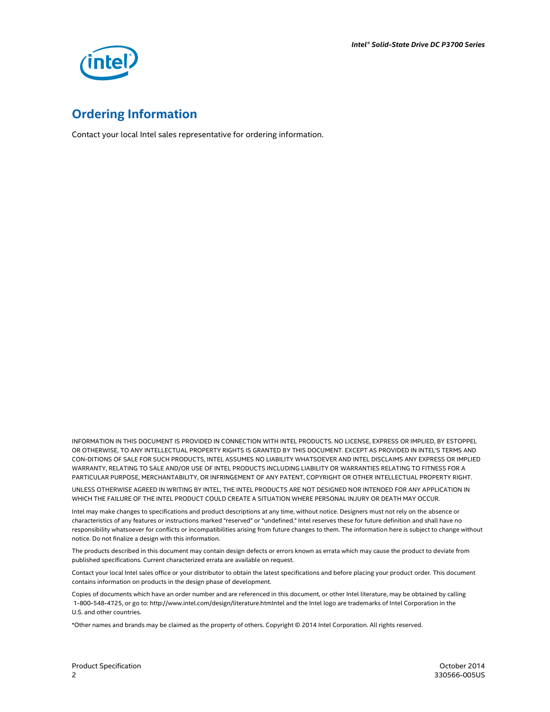*Intel® Solid-State Drive DC P3700 Series*



### **Ordering Information**

Contact your local Intel sales representative for ordering information.

INFORMATION IN THIS DOCUMENT IS PROVIDED IN CONNECTION WITH INTEL PRODUCTS. NO LICENSE, EXPRESS OR IMPLIED, BY ESTOPPEL OR OTHERWISE, TO ANY INTELLECTUAL PROPERTY RIGHTS IS GRANTED BY THIS DOCUMENT. EXCEPT AS PROVIDED IN INTEL'S TERMS AND CON-DITIONS OF SALE FOR SUCH PRODUCTS, INTEL ASSUMES NO LIABILITY WHATSOEVER AND INTEL DISCLAIMS ANY EXPRESS OR IMPLIED WARRANTY, RELATING TO SALE AND/OR USE OF INTEL PRODUCTS INCLUDING LIABILITY OR WARRANTIES RELATING TO FITNESS FOR A PARTICULAR PURPOSE, MERCHANTABILITY, OR INFRINGEMENT OF ANY PATENT, COPYRIGHT OR OTHER INTELLECTUAL PROPERTY RIGHT.

UNLESS OTHERWISE AGREED IN WRITING BY INTEL, THE INTEL PRODUCTS ARE NOT DESIGNED NOR INTENDED FOR ANY APPLICATION IN WHICH THE FAILURE OF THE INTEL PRODUCT COULD CREATE A SITUATION WHERE PERSONAL INJURY OR DEATH MAY OCCUR.

Intel may make changes to specifications and product descriptions at any time, without notice. Designers must not rely on the absence or characteristics of any features or instructions marked "reserved" or "undefined." Intel reserves these for future definition and shall have no responsibility whatsoever for conflicts or incompatibilities arising from future changes to them. The information here is subject to change without notice. Do not finalize a design with this information.

The products described in this document may contain design defects or errors known as errata which may cause the product to deviate from published specifications. Current characterized errata are available on request.

Contact your local Intel sales office or your distributor to obtain the latest specifications and before placing your product order. This document contains information on products in the design phase of development.

Copies of documents which have an order number and are referenced in this document, or other Intel literature, may be obtained by calling 1-800-548-4725, or go to: http://www.intel.com/design/literature.htmIntel and the Intel logo are trademarks of Intel Corporation in the U.S. and other countries.

\*Other names and brands may be claimed as the property of others. Copyright © 2014 Intel Corporation. All rights reserved.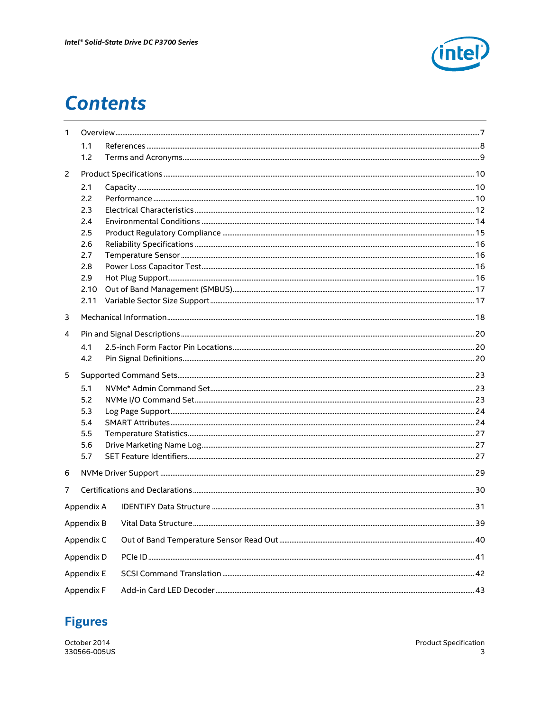

## **Contents**

| 1          |            |  |  |  |  |
|------------|------------|--|--|--|--|
|            | 1.1        |  |  |  |  |
|            | 1.2        |  |  |  |  |
| 2          |            |  |  |  |  |
|            | 2.1        |  |  |  |  |
|            | 2.2        |  |  |  |  |
|            | 2.3        |  |  |  |  |
|            | 2.4        |  |  |  |  |
|            | 2.5        |  |  |  |  |
|            | 2.6        |  |  |  |  |
|            | 2.7        |  |  |  |  |
|            | 2.8        |  |  |  |  |
|            | 2.9        |  |  |  |  |
|            | 2.10       |  |  |  |  |
|            | 2.11       |  |  |  |  |
| 3          |            |  |  |  |  |
| 4          |            |  |  |  |  |
|            | 4.1        |  |  |  |  |
|            | 4.2        |  |  |  |  |
| 5          |            |  |  |  |  |
|            | 5.1        |  |  |  |  |
|            | 5.2        |  |  |  |  |
|            | 5.3        |  |  |  |  |
|            | 5.4        |  |  |  |  |
|            | 5.5        |  |  |  |  |
|            | 5.6        |  |  |  |  |
|            | 5.7        |  |  |  |  |
| 6          |            |  |  |  |  |
| 7          |            |  |  |  |  |
|            | Appendix A |  |  |  |  |
|            | Appendix B |  |  |  |  |
|            | Appendix C |  |  |  |  |
|            | Appendix D |  |  |  |  |
|            | Appendix E |  |  |  |  |
|            |            |  |  |  |  |
| Appendix F |            |  |  |  |  |

### **Figures**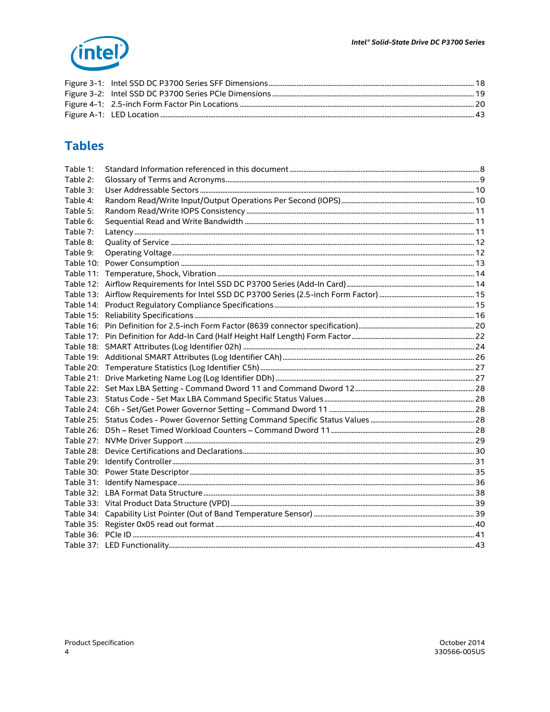## **Tables**

| Table 1: |  |
|----------|--|
| Table 2: |  |
| Table 3: |  |
| Table 4: |  |
| Table 5: |  |
| Table 6: |  |
| Table 7: |  |
| Table 8: |  |
| Table 9: |  |
|          |  |
|          |  |
|          |  |
|          |  |
|          |  |
|          |  |
|          |  |
|          |  |
|          |  |
|          |  |
|          |  |
|          |  |
|          |  |
|          |  |
|          |  |
|          |  |
|          |  |
|          |  |
|          |  |
|          |  |
|          |  |
|          |  |
|          |  |
|          |  |
|          |  |
|          |  |
|          |  |
|          |  |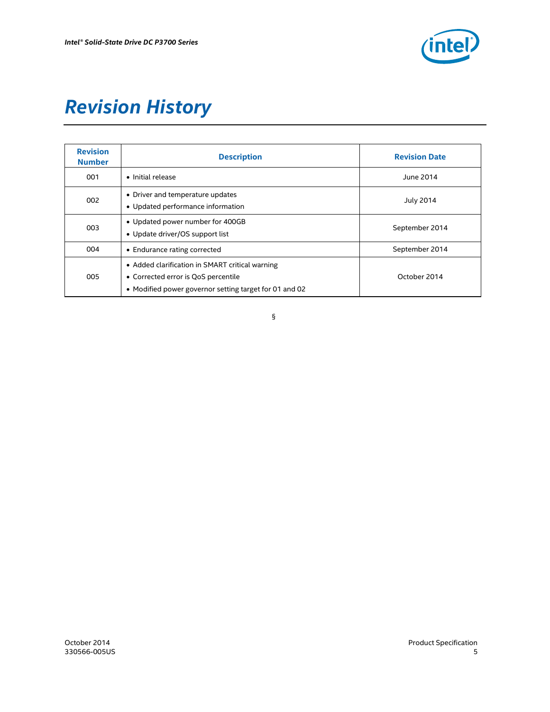

## *Revision History*

| <b>Revision</b><br><b>Number</b> | <b>Description</b>                                                                                                                               | <b>Revision Date</b> |
|----------------------------------|--------------------------------------------------------------------------------------------------------------------------------------------------|----------------------|
| 001                              | • Initial release                                                                                                                                | June 2014            |
| 002                              | • Driver and temperature updates<br>• Updated performance information                                                                            | <b>July 2014</b>     |
| 003                              | • Updated power number for 400GB<br>• Update driver/OS support list                                                                              | September 2014       |
| 004                              | • Endurance rating corrected                                                                                                                     | September 2014       |
| 005                              | • Added clarification in SMART critical warning<br>• Corrected error is QoS percentile<br>• Modified power governor setting target for 01 and 02 | October 2014         |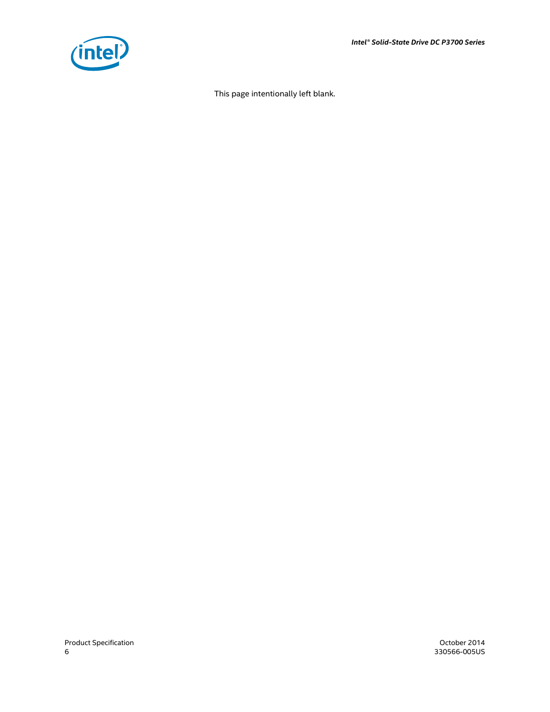

This page intentionally left blank.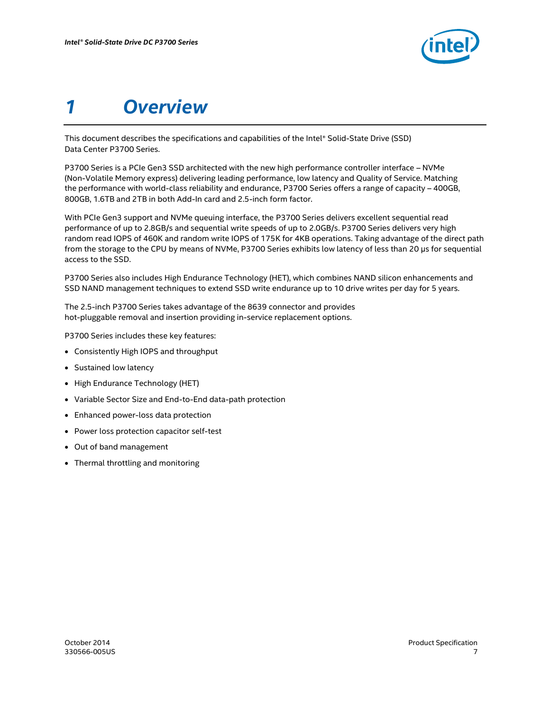

## <span id="page-6-0"></span>*1 Overview*

This document describes the specifications and capabilities of the Intel® Solid-State Drive (SSD) Data Center P3700 Series.

P3700 Series is a PCIe Gen3 SSD architected with the new high performance controller interface – NVMe (Non-Volatile Memory express) delivering leading performance, low latency and Quality of Service. Matching the performance with world-class reliability and endurance, P3700 Series offers a range of capacity – 400GB, 800GB, 1.6TB and 2TB in both Add-In card and 2.5-inch form factor.

With PCIe Gen3 support and NVMe queuing interface, the P3700 Series delivers excellent sequential read performance of up to 2.8GB/s and sequential write speeds of up to 2.0GB/s. P3700 Series delivers very high random read IOPS of 460K and random write IOPS of 175K for 4KB operations. Taking advantage of the direct path from the storage to the CPU by means of NVMe, P3700 Series exhibits low latency of less than 20 μs for sequential access to the SSD.

P3700 Series also includes High Endurance Technology (HET), which combines NAND silicon enhancements and SSD NAND management techniques to extend SSD write endurance up to 10 drive writes per day for 5 years.

The 2.5-inch P3700 Series takes advantage of the 8639 connector and provides hot-pluggable removal and insertion providing in-service replacement options.

P3700 Series includes these key features:

- Consistently High IOPS and throughput
- Sustained low latency
- High Endurance Technology (HET)
- Variable Sector Size and End-to-End data-path protection
- Enhanced power-loss data protection
- Power loss protection capacitor self-test
- Out of band management
- Thermal throttling and monitoring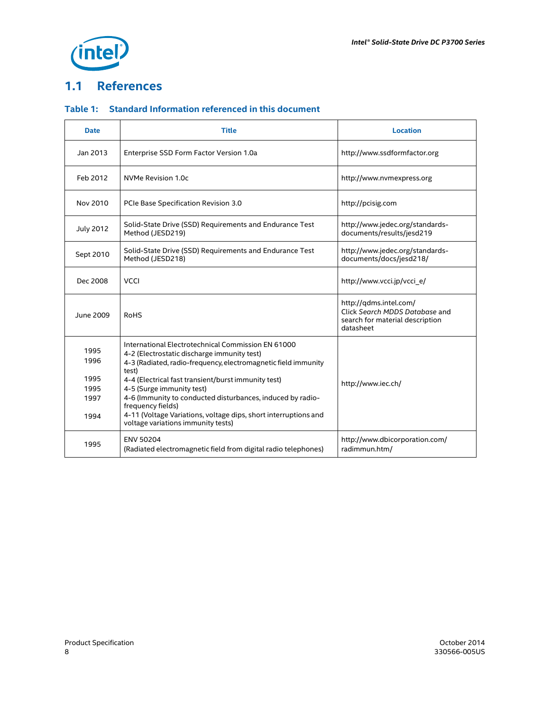

### <span id="page-7-0"></span>**1.1 References**

#### **Table 1: Standard Information referenced in this document**

| <b>Date</b>                                  | <b>Title</b>                                                                                                                                                                                                                                                                                                                                                                                                                                                 | <b>Location</b>                                                                                          |
|----------------------------------------------|--------------------------------------------------------------------------------------------------------------------------------------------------------------------------------------------------------------------------------------------------------------------------------------------------------------------------------------------------------------------------------------------------------------------------------------------------------------|----------------------------------------------------------------------------------------------------------|
| Jan 2013                                     | Enterprise SSD Form Factor Version 1.0a                                                                                                                                                                                                                                                                                                                                                                                                                      | http://www.ssdformfactor.org                                                                             |
| Feb 2012                                     | NVMe Revision 1.0c                                                                                                                                                                                                                                                                                                                                                                                                                                           | http://www.nvmexpress.org                                                                                |
| Nov 2010                                     | PCIe Base Specification Revision 3.0                                                                                                                                                                                                                                                                                                                                                                                                                         | http://pcisig.com                                                                                        |
| <b>July 2012</b>                             | Solid-State Drive (SSD) Requirements and Endurance Test<br>Method (JESD219)                                                                                                                                                                                                                                                                                                                                                                                  | http://www.jedec.org/standards-<br>documents/results/jesd219                                             |
| Sept 2010                                    | Solid-State Drive (SSD) Requirements and Endurance Test<br>Method (JESD218)                                                                                                                                                                                                                                                                                                                                                                                  | http://www.jedec.org/standards-<br>documents/docs/jesd218/                                               |
| Dec 2008                                     | <b>VCCI</b>                                                                                                                                                                                                                                                                                                                                                                                                                                                  | http://www.vcci.jp/vcci_e/                                                                               |
| June 2009                                    | RoHS                                                                                                                                                                                                                                                                                                                                                                                                                                                         | http://gdms.intel.com/<br>Click Search MDDS Database and<br>search for material description<br>datasheet |
| 1995<br>1996<br>1995<br>1995<br>1997<br>1994 | International Electrotechnical Commission EN 61000<br>4-2 (Electrostatic discharge immunity test)<br>4-3 (Radiated, radio-frequency, electromagnetic field immunity<br>test)<br>4-4 (Electrical fast transient/burst immunity test)<br>4-5 (Surge immunity test)<br>4-6 (Immunity to conducted disturbances, induced by radio-<br>frequency fields)<br>4-11 (Voltage Variations, voltage dips, short interruptions and<br>voltage variations immunity tests) | http://www.iec.ch/                                                                                       |
| 1995                                         | <b>ENV 50204</b><br>(Radiated electromagnetic field from digital radio telephones)                                                                                                                                                                                                                                                                                                                                                                           | http://www.dbicorporation.com/<br>radimmun.htm/                                                          |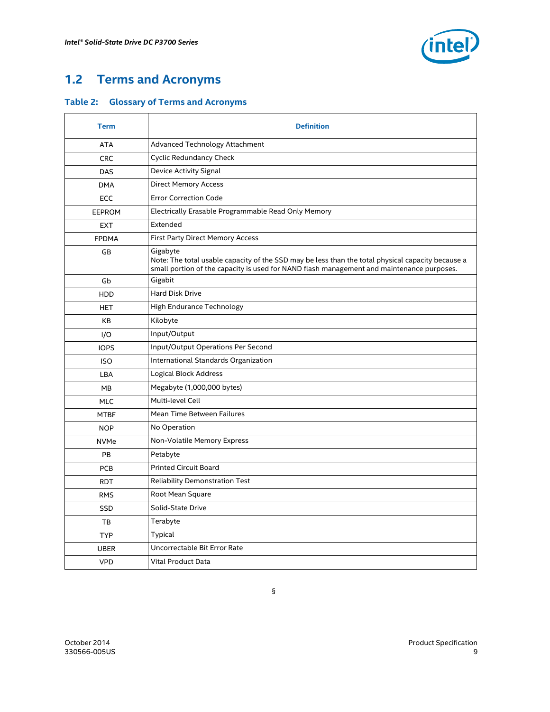

## <span id="page-8-0"></span>**1.2 Terms and Acronyms**

#### **Table 2: Glossary of Terms and Acronyms**

| <b>Term</b>   | <b>Definition</b>                                                                                                                                                                                          |
|---------------|------------------------------------------------------------------------------------------------------------------------------------------------------------------------------------------------------------|
| <b>ATA</b>    | Advanced Technology Attachment                                                                                                                                                                             |
| <b>CRC</b>    | Cyclic Redundancy Check                                                                                                                                                                                    |
| <b>DAS</b>    | Device Activity Signal                                                                                                                                                                                     |
| <b>DMA</b>    | <b>Direct Memory Access</b>                                                                                                                                                                                |
| <b>ECC</b>    | <b>Error Correction Code</b>                                                                                                                                                                               |
| <b>EEPROM</b> | Electrically Erasable Programmable Read Only Memory                                                                                                                                                        |
| <b>EXT</b>    | Extended                                                                                                                                                                                                   |
| <b>FPDMA</b>  | <b>First Party Direct Memory Access</b>                                                                                                                                                                    |
| GB            | Gigabyte<br>Note: The total usable capacity of the SSD may be less than the total physical capacity because a<br>small portion of the capacity is used for NAND flash management and maintenance purposes. |
| Gb            | Gigabit                                                                                                                                                                                                    |
| HDD           | Hard Disk Drive                                                                                                                                                                                            |
| <b>HET</b>    | High Endurance Technology                                                                                                                                                                                  |
| <b>KB</b>     | Kilobyte                                                                                                                                                                                                   |
| I/O           | Input/Output                                                                                                                                                                                               |
| <b>IOPS</b>   | Input/Output Operations Per Second                                                                                                                                                                         |
| <b>ISO</b>    | International Standards Organization                                                                                                                                                                       |
| LBA           | Logical Block Address                                                                                                                                                                                      |
| <b>MB</b>     | Megabyte (1,000,000 bytes)                                                                                                                                                                                 |
| <b>MLC</b>    | Multi-level Cell                                                                                                                                                                                           |
| <b>MTBF</b>   | Mean Time Between Failures                                                                                                                                                                                 |
| <b>NOP</b>    | No Operation                                                                                                                                                                                               |
| <b>NVMe</b>   | Non-Volatile Memory Express                                                                                                                                                                                |
| PB            | Petabyte                                                                                                                                                                                                   |
| <b>PCB</b>    | <b>Printed Circuit Board</b>                                                                                                                                                                               |
| <b>RDT</b>    | <b>Reliability Demonstration Test</b>                                                                                                                                                                      |
| <b>RMS</b>    | Root Mean Square                                                                                                                                                                                           |
| SSD           | Solid-State Drive                                                                                                                                                                                          |
| TB            | Terabyte                                                                                                                                                                                                   |
| <b>TYP</b>    | Typical                                                                                                                                                                                                    |
| <b>UBER</b>   | Uncorrectable Bit Error Rate                                                                                                                                                                               |
| <b>VPD</b>    | Vital Product Data                                                                                                                                                                                         |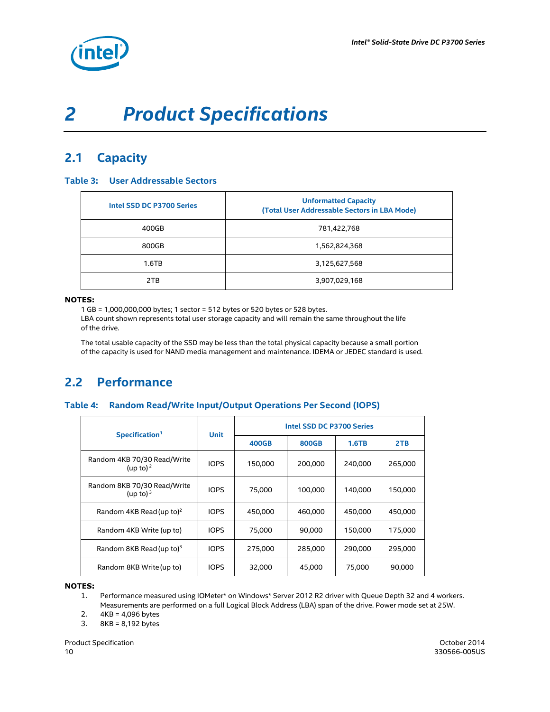

## <span id="page-9-0"></span>*2 Product Specifications*

### <span id="page-9-1"></span>**2.1 Capacity**

#### **Table 3: User Addressable Sectors**

| Intel SSD DC P3700 Series | <b>Unformatted Capacity</b><br>(Total User Addressable Sectors in LBA Mode) |
|---------------------------|-----------------------------------------------------------------------------|
| 400GB                     | 781,422,768                                                                 |
| 800GB                     | 1,562,824,368                                                               |
| $1.6$ TB                  | 3,125,627,568                                                               |
| 2TB                       | 3,907,029,168                                                               |

#### **NOTES:**

1 GB = 1,000,000,000 bytes; 1 sector = 512 bytes or 520 bytes or 528 bytes.

LBA count shown represents total user storage capacity and will remain the same throughout the life of the drive.

The total usable capacity of the SSD may be less than the total physical capacity because a small portion of the capacity is used for NAND media management and maintenance. IDEMA or JEDEC standard is used.

### <span id="page-9-2"></span>**2.2 Performance**

#### **Table 4: Random Read/Write Input/Output Operations Per Second (IOPS)**

| Specification <sup>1</sup>                          | <b>Unit</b> | Intel SSD DC P3700 Series |              |              |         |  |
|-----------------------------------------------------|-------------|---------------------------|--------------|--------------|---------|--|
|                                                     |             | <b>400GB</b>              | <b>800GB</b> | <b>1.6TB</b> | 2TB     |  |
| Random 4KB 70/30 Read/Write<br>(up to) <sup>2</sup> | <b>IOPS</b> | 150,000                   | 200,000      | 240,000      | 265,000 |  |
| Random 8KB 70/30 Read/Write<br>(up to) $3$          | <b>IOPS</b> | 75,000                    | 100,000      | 140,000      | 150,000 |  |
| Random 4KB Read (up to) <sup>2</sup>                | <b>IOPS</b> | 450,000                   | 460,000      | 450,000      | 450,000 |  |
| Random 4KB Write (up to)                            | <b>IOPS</b> | 75,000                    | 90,000       | 150,000      | 175.000 |  |
| Random 8KB Read (up to) <sup>3</sup>                | <b>IOPS</b> | 275,000                   | 285,000      | 290,000      | 295,000 |  |
| Random 8KB Write (up to)                            | <b>IOPS</b> | 32,000                    | 45,000       | 75,000       | 90,000  |  |

#### **NOTES:**

1. Performance measured using IOMeter\* on Windows\* Server 2012 R2 driver with Queue Depth 32 and 4 workers. Measurements are performed on a full Logical Block Address (LBA) span of the drive. Power mode set at 25W.

2. 4KB = 4,096 bytes

3. 8KB = 8,192 bytes

Product Specification **Contract Specification Contract Specification Contract Specification October 2014** 10 330566-005US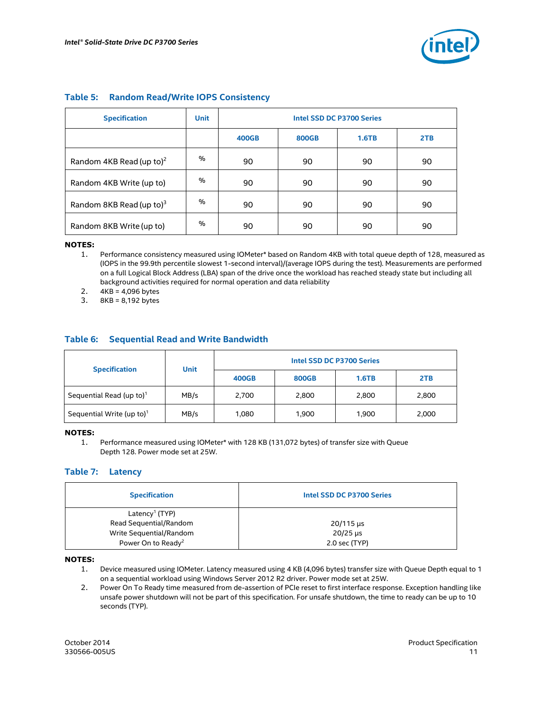

| <b>Specification</b>                 | <b>Unit</b> | <b>Intel SSD DC P3700 Series</b> |              |          |     |
|--------------------------------------|-------------|----------------------------------|--------------|----------|-----|
|                                      |             | <b>400GB</b>                     | <b>800GB</b> | $1.6$ TB | 2TB |
| Random 4KB Read (up to) <sup>2</sup> | $\%$        | 90                               | 90           | 90       | 90  |
| Random 4KB Write (up to)             | $\%$        | 90                               | 90           | 90       | 90  |
| Random 8KB Read (up to) <sup>3</sup> | $\%$        | 90                               | 90           | 90       | 90  |
| Random 8KB Write (up to)             | $\%$        | 90                               | 90           | 90       | 90  |

#### **Table 5: Random Read/Write IOPS Consistency**

#### **NOTES:**

1. Performance consistency measured using IOMeter\* based on Random 4KB with total queue depth of 128, measured as (IOPS in the 99.9th percentile slowest 1-second interval)/(average IOPS during the test). Measurements are performed on a full Logical Block Address (LBA) span of the drive once the workload has reached steady state but including all background activities required for normal operation and data reliability

2. 4KB = 4,096 bytes

3. 8KB = 8,192 bytes

#### **Table 6: Sequential Read and Write Bandwidth**

| <b>Specification</b>                  | Unit | <b>Intel SSD DC P3700 Series</b> |              |          |       |  |
|---------------------------------------|------|----------------------------------|--------------|----------|-------|--|
|                                       |      | <b>400GB</b>                     | <b>800GB</b> | $1.6$ TB | 2TB   |  |
| Sequential Read (up to) <sup>1</sup>  | MB/s | 2,700                            | 2,800        | 2,800    | 2,800 |  |
| Sequential Write (up to) <sup>1</sup> | MB/s | 1,080                            | 1,900        | 1,900    | 2,000 |  |

#### **NOTES:**

1. Performance measured using IOMeter\* with 128 KB (131,072 bytes) of transfer size with Queue Depth 128. Power mode set at 25W.

#### **Table 7: Latency**

| <b>Specification</b>           | Intel SSD DC P3700 Series |  |  |
|--------------------------------|---------------------------|--|--|
| Latency <sup>1</sup> (TYP)     |                           |  |  |
| Read Sequential/Random         | 20/115 µs                 |  |  |
| Write Sequential/Random        | $20/25$ µs                |  |  |
| Power On to Ready <sup>2</sup> | 2.0 sec (TYP)             |  |  |

#### **NOTES:**

1. Device measured using IOMeter. Latency measured using 4 KB (4,096 bytes) transfer size with Queue Depth equal to 1 on a sequential workload using Windows Server 2012 R2 driver. Power mode set at 25W.

2. Power On To Ready time measured from de-assertion of PCIe reset to first interface response. Exception handling like unsafe power shutdown will not be part of this specification. For unsafe shutdown, the time to ready can be up to 10 seconds (TYP).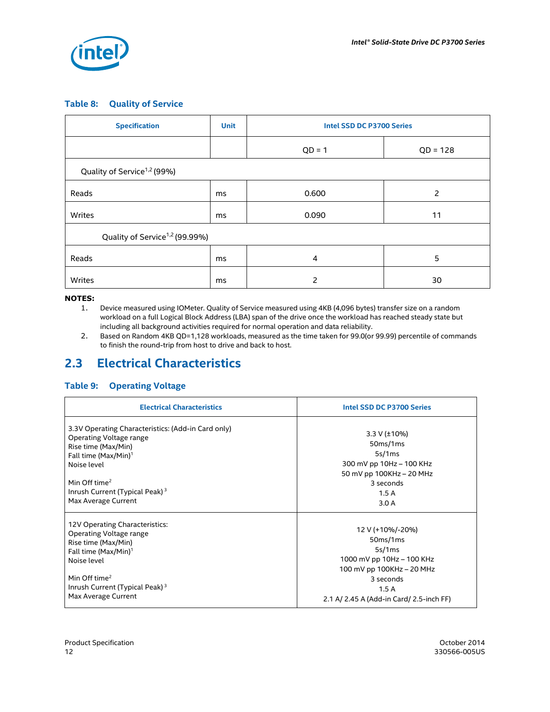

#### **Table 8: Quality of Service**

| <b>Specification</b>                       | <b>Unit</b> | <b>Intel SSD DC P3700 Series</b> |            |  |  |  |
|--------------------------------------------|-------------|----------------------------------|------------|--|--|--|
|                                            |             | $QD = 1$                         | $QD = 128$ |  |  |  |
| Quality of Service <sup>1,2</sup> (99%)    |             |                                  |            |  |  |  |
| Reads                                      | ms          | 0.600                            | 2          |  |  |  |
| Writes                                     | ms          | 0.090                            | 11         |  |  |  |
| Quality of Service <sup>1,2</sup> (99.99%) |             |                                  |            |  |  |  |
| Reads                                      | ms          | 4                                | 5          |  |  |  |
| Writes                                     | ms          | 2                                | 30         |  |  |  |

#### **NOTES:**

1. Device measured using IOMeter. Quality of Service measured using 4KB (4,096 bytes) transfer size on a random workload on a full Logical Block Address (LBA) span of the drive once the workload has reached steady state but including all background activities required for normal operation and data reliability.

2. Based on Random 4KB QD=1,128 workloads, measured as the time taken for 99.0(or 99.99) percentile of commands to finish the round-trip from host to drive and back to host.

### <span id="page-11-0"></span>**2.3 Electrical Characteristics**

#### **Table 9: Operating Voltage**

| <b>Electrical Characteristics</b>                  | Intel SSD DC P3700 Series                |
|----------------------------------------------------|------------------------------------------|
| 3.3V Operating Characteristics: (Add-in Card only) | 3.3 V (±10%)                             |
| Operating Voltage range                            | 50ms/1ms                                 |
| Rise time (Max/Min)                                | 5s/1ms                                   |
| Fall time (Max/Min) <sup>1</sup>                   | 300 mV pp 10Hz - 100 KHz                 |
| Noise level                                        | 50 mV pp 100KHz - 20 MHz                 |
| Min Off time <sup>2</sup>                          | 3 seconds                                |
| Inrush Current (Typical Peak) <sup>3</sup>         | 1.5A                                     |
| Max Average Current                                | 3.0A                                     |
| 12V Operating Characteristics:                     | 12 V (+10%/-20%)                         |
| Operating Voltage range                            | 50ms/1ms                                 |
| Rise time (Max/Min)                                | 5s/1ms                                   |
| Fall time (Max/Min) <sup>1</sup>                   | 1000 mV pp 10Hz - 100 KHz                |
| Noise level                                        | 100 mV pp 100KHz - 20 MHz                |
| Min Off time <sup>2</sup>                          | 3 seconds                                |
| Inrush Current (Typical Peak) <sup>3</sup>         | 1.5A                                     |
| Max Average Current                                | 2.1 A/ 2.45 A (Add-in Card/ 2.5-inch FF) |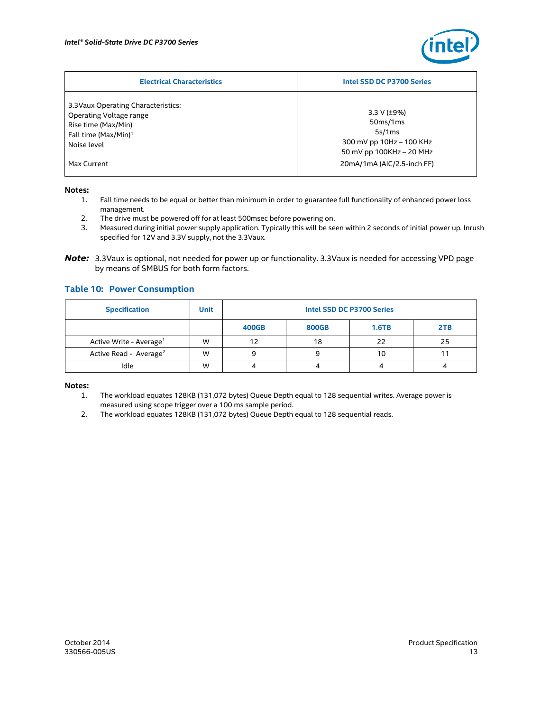

| <b>Electrical Characteristics</b>                                                                                                                       | <b>Intel SSD DC P3700 Series</b>                                                                                        |
|---------------------------------------------------------------------------------------------------------------------------------------------------------|-------------------------------------------------------------------------------------------------------------------------|
| 3.3 Vaux Operating Characteristics:<br>Operating Voltage range<br>Rise time (Max/Min)<br>Fall time (Max/Min) <sup>1</sup><br>Noise level<br>Max Current | 3.3 V (±9%)<br>50ms/1ms<br>5s/1ms<br>300 mV pp 10Hz - 100 KHz<br>50 mV pp 100KHz - 20 MHz<br>20mA/1mA (AIC/2.5-inch FF) |
|                                                                                                                                                         |                                                                                                                         |

#### **Notes:**

- 1. Fall time needs to be equal or better than minimum in order to guarantee full functionality of enhanced power loss management.
- 2. The drive must be powered off for at least 500msec before powering on.
- 3. Measured during initial power supply application. Typically this will be seen within 2 seconds of initial power up. Inrush specified for 12V and 3.3V supply, not the 3.3Vaux.
- *Note:* 3.3Vaux is optional, not needed for power up or functionality. 3.3Vaux is needed for accessing VPD page by means of SMBUS for both form factors.

#### **Table 10: Power Consumption**

| <b>Specification</b>                | Unit | Intel SSD DC P3700 Series |              |          |     |  |
|-------------------------------------|------|---------------------------|--------------|----------|-----|--|
|                                     |      | <b>400GB</b>              | <b>800GB</b> | $1.6$ TB | 2TB |  |
| Active Write - Average <sup>1</sup> | W    | 12                        | 18           | 22       | 25  |  |
| Active Read - Average <sup>2</sup>  | W    |                           |              | 10       |     |  |
| Idle                                | W    |                           |              |          |     |  |

#### **Notes:**

- 1. The workload equates 128KB (131,072 bytes) Queue Depth equal to 128 sequential writes. Average power is measured using scope trigger over a 100 ms sample period.
- 2. The workload equates 128KB (131,072 bytes) Queue Depth equal to 128 sequential reads.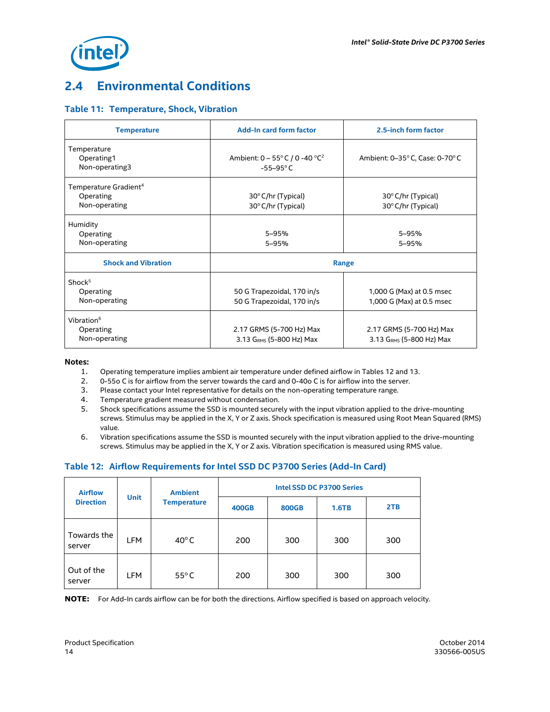

### <span id="page-13-0"></span>**2.4 Environmental Conditions**

#### **Table 11: Temperature, Shock, Vibration**

| <b>Temperature</b>                                              | <b>Add-In card form factor</b>                                                      | 2.5-inch form factor                                   |  |  |
|-----------------------------------------------------------------|-------------------------------------------------------------------------------------|--------------------------------------------------------|--|--|
| Temperature<br>Operating1<br>Non-operating3                     | Ambient: $0 - 55^{\circ}$ C / 0 -40 $^{\circ}$ C <sup>2</sup><br>$-55-95^{\circ}$ C | Ambient: 0-35°C, Case: 0-70°C                          |  |  |
| Temperature Gradient <sup>4</sup><br>Operating<br>Non-operating | 30° C/hr (Typical)<br>30° C/hr (Typical)                                            | 30° C/hr (Typical)<br>30° C/hr (Typical)               |  |  |
| Humidity<br>Operating<br>Non-operating                          | 5-95%<br>5-95%                                                                      | 5-95%<br>5-95%                                         |  |  |
| <b>Shock and Vibration</b>                                      | <b>Range</b>                                                                        |                                                        |  |  |
| Shock <sup>5</sup><br>Operating<br>Non-operating                | 50 G Trapezoidal, 170 in/s<br>50 G Trapezoidal, 170 in/s                            | 1,000 G (Max) at 0.5 msec<br>1,000 G (Max) at 0.5 msec |  |  |
| Vibration <sup>6</sup><br>Operating<br>Non-operating            | 2.17 GRMS (5-700 Hz) Max<br>3.13 GRMS (5-800 Hz) Max                                | 2.17 GRMS (5-700 Hz) Max<br>3.13 GRMS (5-800 Hz) Max   |  |  |

#### **Notes:**

- 1. Operating temperature implies ambient air temperature under defined airflow in Tables 12 and 13.
- 2. 0-55o C is for airflow from the server towards the card and 0-40o C is for airflow into the server.
- 3. Please contact your Intel representative for details on the non-operating temperature range.
- 4. Temperature gradient measured without condensation.
- 5. Shock specifications assume the SSD is mounted securely with the input vibration applied to the drive-mounting screws. Stimulus may be applied in the X, Y or Z axis. Shock specification is measured using Root Mean Squared (RMS) value.
- 6. Vibration specifications assume the SSD is mounted securely with the input vibration applied to the drive-mounting screws. Stimulus may be applied in the X, Y or Z axis. Vibration specification is measured using RMS value.

#### **Table 12: Airflow Requirements for Intel SSD DC P3700 Series (Add-In Card)**

| <b>Airflow</b>        | <b>Unit</b> | <b>Ambient</b><br><b>Temperature</b> | <b>Intel SSD DC P3700 Series</b> |              |       |     |  |
|-----------------------|-------------|--------------------------------------|----------------------------------|--------------|-------|-----|--|
| <b>Direction</b>      |             |                                      | <b>400GB</b>                     | <b>800GB</b> | 1.6TB | 2TB |  |
| Towards the<br>server | <b>LFM</b>  | 40 $\degree$ C                       | 200                              | 300          | 300   | 300 |  |
| Out of the<br>server  | LFM         | $55^{\circ}$ C                       | 200                              | 300          | 300   | 300 |  |

**NOTE:** For Add-In cards airflow can be for both the directions. Airflow specified is based on approach velocity.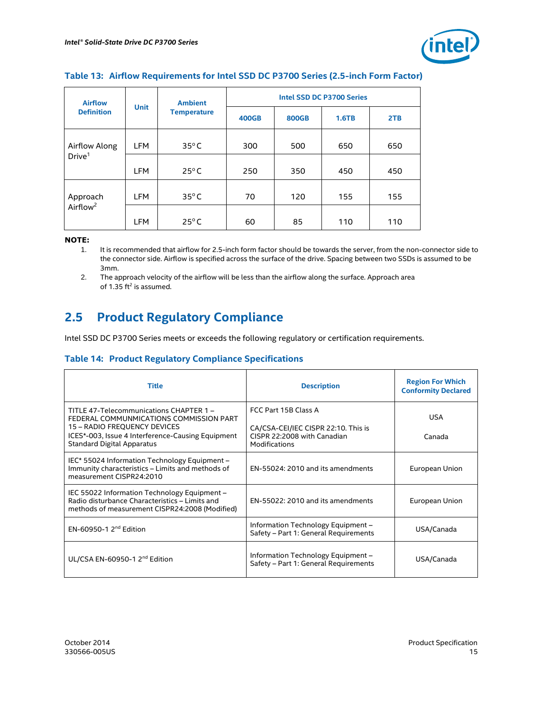

#### **Table 13: Airflow Requirements for Intel SSD DC P3700 Series (2.5-inch Form Factor)**

| <b>Airflow</b>       |             | <b>Ambient</b><br><b>Temperature</b> | <b>Intel SSD DC P3700 Series</b> |              |          |     |  |  |
|----------------------|-------------|--------------------------------------|----------------------------------|--------------|----------|-----|--|--|
| <b>Definition</b>    | <b>Unit</b> |                                      | <b>400GB</b>                     | <b>800GB</b> | $1.6$ TB | 2TB |  |  |
| Airflow Along        | <b>LFM</b>  | $35^{\circ}$ C                       | 300                              | 500          | 650      | 650 |  |  |
| Drive <sup>1</sup>   | <b>LFM</b>  | $25^{\circ}$ C                       | 250                              | 350          | 450      | 450 |  |  |
| Approach             | <b>LFM</b>  | $35^{\circ}$ C                       | 70                               | 120          | 155      | 155 |  |  |
| Airflow <sup>2</sup> | <b>LFM</b>  | $25^{\circ}$ C                       | 60                               | 85           | 110      | 110 |  |  |

#### **NOTE:**

- 1. It is recommended that airflow for 2.5-inch form factor should be towards the server, from the non-connector side to the connector side. Airflow is specified across the surface of the drive. Spacing between two SSDs is assumed to be 3mm.
- 2. The approach velocity of the airflow will be less than the airflow along the surface. Approach area of 1.35  $ft^2$  is assumed.

### <span id="page-14-0"></span>**2.5 Product Regulatory Compliance**

Intel SSD DC P3700 Series meets or exceeds the following regulatory or certification requirements.

#### **Table 14: Product Regulatory Compliance Specifications**

| <b>Title</b>                                                                                                                                                                                                 | <b>Description</b>                                                                                          | <b>Region For Which</b><br><b>Conformity Declared</b> |
|--------------------------------------------------------------------------------------------------------------------------------------------------------------------------------------------------------------|-------------------------------------------------------------------------------------------------------------|-------------------------------------------------------|
| TITLE 47-Telecommunications CHAPTER 1 -<br>FEDERAL COMMUNMICATIONS COMMISSION PART<br>15 - RADIO FREQUENCY DEVICES<br>ICES*-003, Issue 4 Interference-Causing Equipment<br><b>Standard Digital Apparatus</b> | FCC Part 15B Class A<br>CA/CSA-CEI/IEC CISPR 22:10. This is<br>CISPR 22:2008 with Canadian<br>Modifications | <b>USA</b><br>Canada                                  |
| IEC* 55024 Information Technology Equipment -<br>Immunity characteristics - Limits and methods of<br>measurement CISPR24:2010                                                                                | EN-55024: 2010 and its amendments                                                                           | European Union                                        |
| IEC 55022 Information Technology Equipment -<br>Radio disturbance Characteristics - Limits and<br>methods of measurement CISPR24:2008 (Modified)                                                             | EN-55022: 2010 and its amendments                                                                           | European Union                                        |
| EN-60950-1 $2nd$ Edition                                                                                                                                                                                     | Information Technology Equipment -<br>Safety - Part 1: General Requirements                                 | USA/Canada                                            |
| UL/CSA EN-60950-1 2 <sup>nd</sup> Edition                                                                                                                                                                    | Information Technology Equipment -<br>Safety - Part 1: General Requirements                                 | USA/Canada                                            |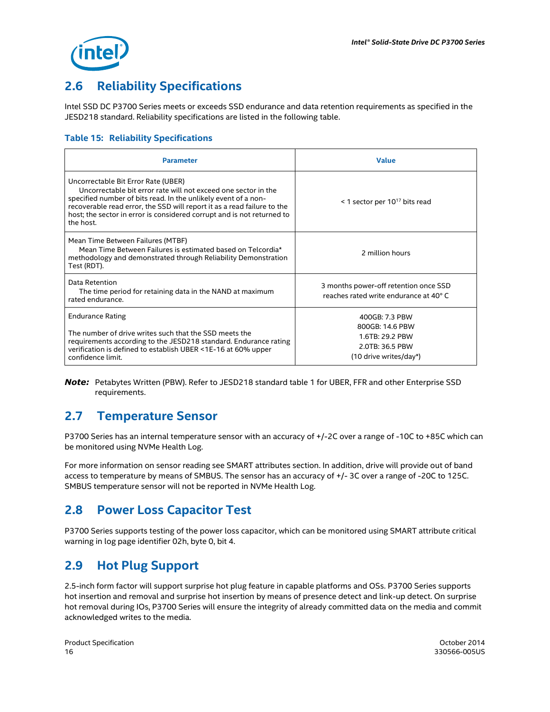

### <span id="page-15-0"></span>**2.6 Reliability Specifications**

Intel SSD DC P3700 Series meets or exceeds SSD endurance and data retention requirements as specified in the JESD218 standard. Reliability specifications are listed in the following table.

#### **Table 15: Reliability Specifications**

| <b>Parameter</b>                                                                                                                                                                                                                                                                                                                          | <b>Value</b>                                                                                      |
|-------------------------------------------------------------------------------------------------------------------------------------------------------------------------------------------------------------------------------------------------------------------------------------------------------------------------------------------|---------------------------------------------------------------------------------------------------|
| Uncorrectable Bit Error Rate (UBER)<br>Uncorrectable bit error rate will not exceed one sector in the<br>specified number of bits read. In the unlikely event of a non-<br>recoverable read error, the SSD will report it as a read failure to the<br>host; the sector in error is considered corrupt and is not returned to<br>the host. | < 1 sector per 10 <sup>17</sup> bits read                                                         |
| Mean Time Between Failures (MTBF)<br>Mean Time Between Failures is estimated based on Telcordia*<br>methodology and demonstrated through Reliability Demonstration<br>Test (RDT).                                                                                                                                                         | 2 million hours                                                                                   |
| Data Retention<br>The time period for retaining data in the NAND at maximum<br>rated endurance.                                                                                                                                                                                                                                           | 3 months power-off retention once SSD<br>reaches rated write endurance at 40°C                    |
| <b>Endurance Rating</b><br>The number of drive writes such that the SSD meets the<br>requirements according to the JESD218 standard. Endurance rating<br>verification is defined to establish UBER <1E-16 at 60% upper<br>confidence limit.                                                                                               | 400GB: 7.3 PBW<br>800GB: 14.6 PBW<br>1.6TB: 29.2 PBW<br>2.0TB: 36.5 PBW<br>(10 drive writes/day*) |

*Note:* Petabytes Written (PBW). Refer to JESD218 standard table 1 for UBER, FFR and other Enterprise SSD requirements.

### <span id="page-15-1"></span>**2.7 Temperature Sensor**

P3700 Series has an internal temperature sensor with an accuracy of +/-2C over a range of -10C to +85C which can be monitored using NVMe Health Log.

For more information on sensor reading see SMART attributes section. In addition, drive will provide out of band access to temperature by means of SMBUS. The sensor has an accuracy of +/- 3C over a range of -20C to 125C. SMBUS temperature sensor will not be reported in NVMe Health Log.

### <span id="page-15-2"></span>**2.8 Power Loss Capacitor Test**

P3700 Series supports testing of the power loss capacitor, which can be monitored using SMART attribute critical warning in log page identifier 02h, byte 0, bit 4.

### <span id="page-15-3"></span>**2.9 Hot Plug Support**

2.5-inch form factor will support surprise hot plug feature in capable platforms and OSs. P3700 Series supports hot insertion and removal and surprise hot insertion by means of presence detect and link-up detect. On surprise hot removal during IOs, P3700 Series will ensure the integrity of already committed data on the media and commit acknowledged writes to the media.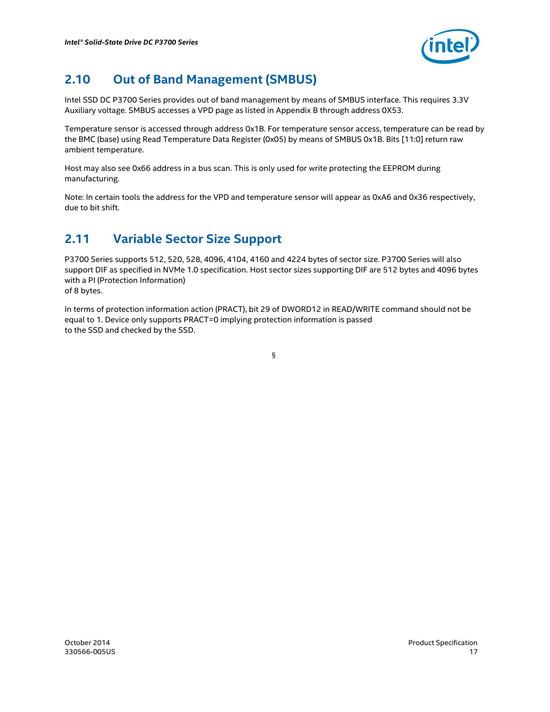

### <span id="page-16-0"></span>**2.10 Out of Band Management (SMBUS)**

Intel SSD DC P3700 Series provides out of band management by means of SMBUS interface. This requires 3.3V Auxiliary voltage. SMBUS accesses a VPD page as listed in Appendix B through address 0X53.

Temperature sensor is accessed through address 0x1B. For temperature sensor access, temperature can be read by the BMC (base) using Read Temperature Data Register (0x05) by means of SMBUS 0x1B. Bits [11:0] return raw ambient temperature.

Host may also see 0x66 address in a bus scan. This is only used for write protecting the EEPROM during manufacturing.

Note: In certain tools the address for the VPD and temperature sensor will appear as 0xA6 and 0x36 respectively, due to bit shift.

### <span id="page-16-1"></span>**2.11 Variable Sector Size Support**

P3700 Series supports 512, 520, 528, 4096, 4104, 4160 and 4224 bytes of sector size. P3700 Series will also support DIF as specified in NVMe 1.0 specification. Host sector sizes supporting DIF are 512 bytes and 4096 bytes with a PI (Protection Information) of 8 bytes.

In terms of protection information action (PRACT), bit 29 of DWORD12 in READ/WRITE command should not be equal to 1. Device only supports PRACT=0 implying protection information is passed to the SSD and checked by the SSD.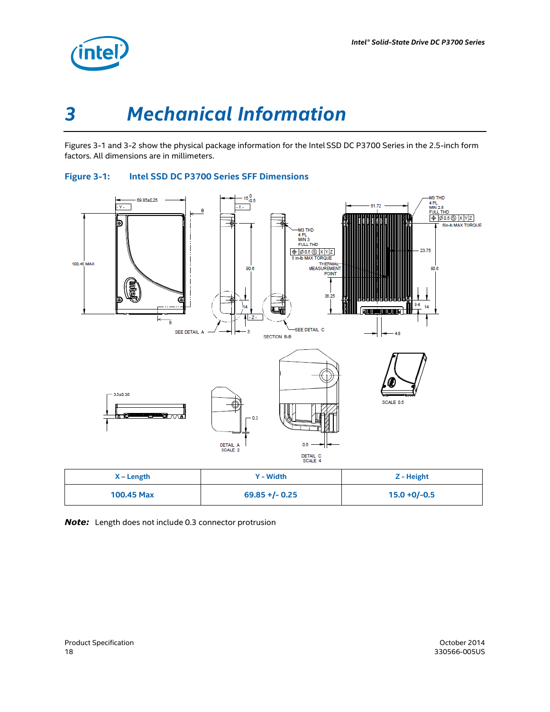

## <span id="page-17-0"></span>*3 Mechanical Information*

Figures 3-1 and 3-2 show the physical package information for the IntelSSD DC P3700 Series in the 2.5-inch form factors. All dimensions are in millimeters.



#### **Figure 3-1: Intel SSD DC P3700 Series SFF Dimensions**

| $X$ – Length      | Y - Width         | Z - Height      |
|-------------------|-------------------|-----------------|
| <b>100.45 Max</b> | $69.85 + (-0.25)$ | $15.0 + 0/-0.5$ |

*Note:* Length does not include 0.3 connector protrusion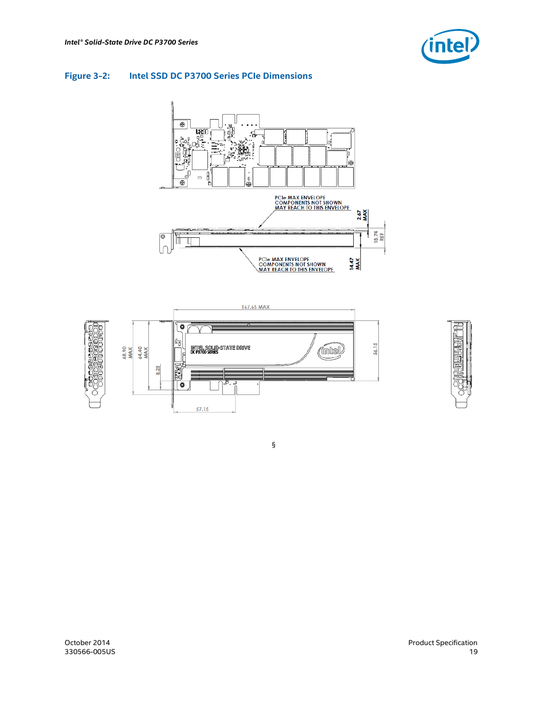

#### **Figure 3-2: Intel SSD DC P3700 Series PCIe Dimensions**





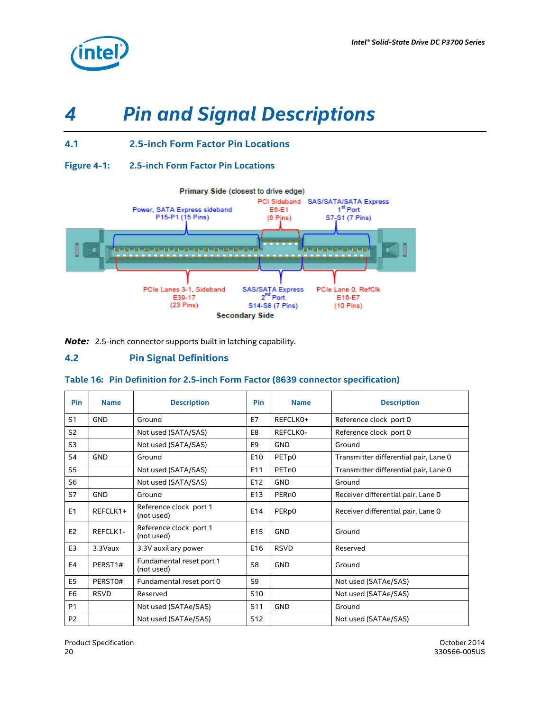

## <span id="page-19-0"></span>*4 Pin and Signal Descriptions*

### <span id="page-19-1"></span>**4.1 2.5-inch Form Factor Pin Locations**

#### **Figure 4-1: 2.5-inch Form Factor Pin Locations**



*Note:* 2.5-inch connector supports built in latching capability.

#### <span id="page-19-2"></span>**4.2 Pin Signal Definitions**

#### **Table 16: Pin Definition for 2.5-inch Form Factor (8639 connector specification)**

| <b>Pin</b>     | <b>Name</b> | <b>Description</b>                     | Pin             | <b>Name</b>        | <b>Description</b>                    |
|----------------|-------------|----------------------------------------|-----------------|--------------------|---------------------------------------|
| S <sub>1</sub> | <b>GND</b>  | Ground                                 | E7              | REFCLK0+           | Reference clock port 0                |
| S <sub>2</sub> |             | Not used (SATA/SAS)                    | E8              | REFCLK0-           | Reference clock port 0                |
| S <sub>3</sub> |             | Not used (SATA/SAS)                    | E9              | <b>GND</b>         | Ground                                |
| S <sub>4</sub> | <b>GND</b>  | Ground                                 | E <sub>10</sub> | PET <sub>p0</sub>  | Transmitter differential pair, Lane 0 |
| S <sub>5</sub> |             | Not used (SATA/SAS)                    | E11             | PET <sub>n0</sub>  | Transmitter differential pair, Lane 0 |
| S <sub>6</sub> |             | Not used (SATA/SAS)                    | E12             | <b>GND</b>         | Ground                                |
| S7             | <b>GND</b>  | Ground                                 | E <sub>13</sub> | PER <sub>n</sub> O | Receiver differential pair, Lane 0    |
| E1             | REFCLK1+    | Reference clock port 1<br>(not used)   | E14             | PER <sub>p0</sub>  | Receiver differential pair, Lane 0    |
| E <sub>2</sub> | REFCLK1-    | Reference clock port 1<br>(not used)   | E <sub>15</sub> | <b>GND</b>         | Ground                                |
| E <sub>3</sub> | 3.3 Vaux    | 3.3V auxiliary power                   | E <sub>16</sub> | <b>RSVD</b>        | Reserved                              |
| E <sub>4</sub> | PERST1#     | Fundamental reset port 1<br>(not used) | S <sub>8</sub>  | <b>GND</b>         | Ground                                |
| E <sub>5</sub> | PERST0#     | Fundamental reset port 0               | S <sub>9</sub>  |                    | Not used (SATAe/SAS)                  |
| E <sub>6</sub> | <b>RSVD</b> | Reserved                               | S <sub>10</sub> |                    | Not used (SATAe/SAS)                  |
| P <sub>1</sub> |             | Not used (SATAe/SAS)                   | S11             | <b>GND</b>         | Ground                                |
| P <sub>2</sub> |             | Not used (SATAe/SAS)                   | S <sub>12</sub> |                    | Not used (SATAe/SAS)                  |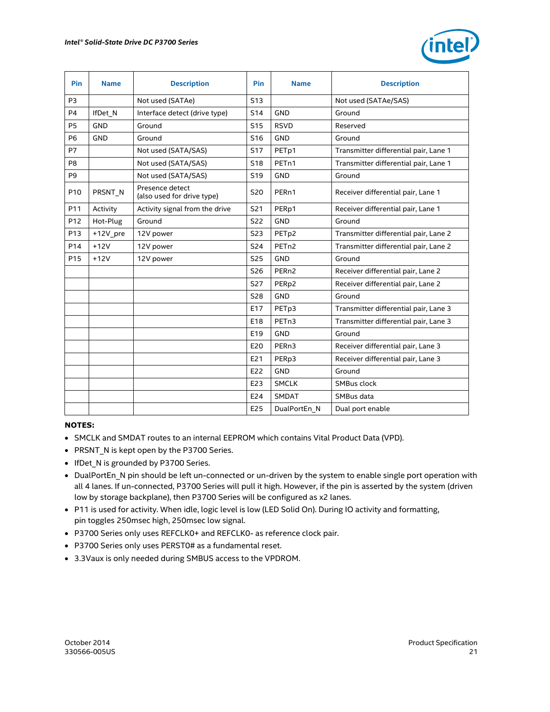

| Pin             | <b>Name</b> | <b>Description</b>                            | Pin             | <b>Name</b>       | <b>Description</b>                    |
|-----------------|-------------|-----------------------------------------------|-----------------|-------------------|---------------------------------------|
| P <sub>3</sub>  |             | Not used (SATAe)                              | S <sub>13</sub> |                   | Not used (SATAe/SAS)                  |
| P <sub>4</sub>  | IfDet_N     | Interface detect (drive type)                 | S14             | <b>GND</b>        | Ground                                |
| P <sub>5</sub>  | <b>GND</b>  | Ground                                        | S <sub>15</sub> | <b>RSVD</b>       | Reserved                              |
| P <sub>6</sub>  | <b>GND</b>  | Ground                                        | S <sub>16</sub> | <b>GND</b>        | Ground                                |
| P7              |             | Not used (SATA/SAS)                           | S <sub>17</sub> | PET <sub>p1</sub> | Transmitter differential pair, Lane 1 |
| P <sub>8</sub>  |             | Not used (SATA/SAS)                           | S <sub>18</sub> | PET <sub>n1</sub> | Transmitter differential pair, Lane 1 |
| P <sub>9</sub>  |             | Not used (SATA/SAS)                           | S <sub>19</sub> | <b>GND</b>        | Ground                                |
| P <sub>10</sub> | PRSNT_N     | Presence detect<br>(also used for drive type) | S <sub>20</sub> | PER <sub>n1</sub> | Receiver differential pair, Lane 1    |
| P11             | Activity    | Activity signal from the drive                | S21             | PERp1             | Receiver differential pair, Lane 1    |
| P <sub>12</sub> | Hot-Plug    | Ground                                        | S22             | <b>GND</b>        | Ground                                |
| P <sub>13</sub> | +12V_pre    | 12V power                                     | S23             | PET <sub>p2</sub> | Transmitter differential pair, Lane 2 |
| P14             | $+12V$      | 12V power                                     | S24             | PET <sub>n2</sub> | Transmitter differential pair, Lane 2 |
| P <sub>15</sub> | $+12V$      | 12V power                                     | <b>S25</b>      | <b>GND</b>        | Ground                                |
|                 |             |                                               | S26             | PER <sub>n2</sub> | Receiver differential pair, Lane 2    |
|                 |             |                                               | <b>S27</b>      | PER <sub>p2</sub> | Receiver differential pair, Lane 2    |
|                 |             |                                               | <b>S28</b>      | <b>GND</b>        | Ground                                |
|                 |             |                                               | E17             | PET <sub>p3</sub> | Transmitter differential pair, Lane 3 |
|                 |             |                                               | E18             | PET <sub>n3</sub> | Transmitter differential pair, Lane 3 |
|                 |             |                                               | E <sub>19</sub> | <b>GND</b>        | Ground                                |
|                 |             |                                               | E20             | PER <sub>n3</sub> | Receiver differential pair, Lane 3    |
|                 |             |                                               | E21             | PERp3             | Receiver differential pair, Lane 3    |
|                 |             |                                               | E22             | <b>GND</b>        | Ground                                |
|                 |             |                                               | E23             | <b>SMCLK</b>      | <b>SMBus clock</b>                    |
|                 |             |                                               | E24             | <b>SMDAT</b>      | SMBus data                            |
|                 |             |                                               | E25             | DualPortEn_N      | Dual port enable                      |

#### **NOTES:**

- SMCLK and SMDAT routes to an internal EEPROM which contains Vital Product Data (VPD).
- PRSNT\_N is kept open by the P3700 Series.
- IfDet\_N is grounded by P3700 Series.
- DualPortEn\_N pin should be left un-connected or un-driven by the system to enable single port operation with all 4 lanes. If un-connected, P3700 Series will pull it high. However, if the pin is asserted by the system (driven low by storage backplane), then P3700 Series will be configured as x2 lanes.
- P11 is used for activity. When idle, logic level is low (LED Solid On). During IO activity and formatting, pin toggles 250msec high, 250msec low signal.
- P3700 Series only uses REFCLK0+ and REFCLK0- as reference clock pair.
- P3700 Series only uses PERST0# as a fundamental reset.
- 3.3Vaux is only needed during SMBUS access to the VPDROM.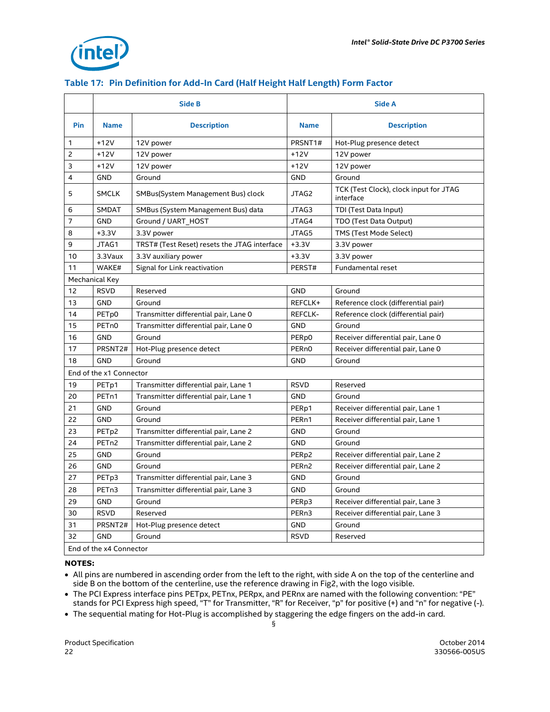

#### **Table 17: Pin Definition for Add-In Card (Half Height Half Length) Form Factor**

|                | <b>Side B</b>                   |                                              |                   | Side A                                              |
|----------------|---------------------------------|----------------------------------------------|-------------------|-----------------------------------------------------|
| Pin            | <b>Name</b>                     | <b>Description</b>                           | <b>Name</b>       | <b>Description</b>                                  |
| 1              | $+12V$                          | 12V power                                    | PRSNT1#           | Hot-Plug presence detect                            |
| $\overline{c}$ | $+12V$                          | 12V power                                    | $+12V$            | 12V power                                           |
| 3              | $+12V$                          | 12V power                                    | $+12V$            | 12V power                                           |
| 4              | <b>GND</b>                      | Ground                                       | <b>GND</b>        | Ground                                              |
| 5              | <b>SMCLK</b>                    | SMBus(System Management Bus) clock           | JTAG2             | TCK (Test Clock), clock input for JTAG<br>interface |
| 6              | <b>SMDAT</b>                    | SMBus (System Management Bus) data           | JTAG3             | TDI (Test Data Input)                               |
| $\overline{7}$ | <b>GND</b>                      | Ground / UART HOST                           | JTAG4             | TDO (Test Data Output)                              |
| 8              | $+3.3V$                         | 3.3V power                                   | JTAG5             | TMS (Test Mode Select)                              |
| 9              | JTAG1                           | TRST# (Test Reset) resets the JTAG interface | $+3.3V$           | 3.3V power                                          |
| 10             | 3.3Vaux                         | 3.3V auxiliary power                         | $+3.3V$           | 3.3V power                                          |
| 11             | WAKE#                           | Signal for Link reactivation                 | PERST#            | Fundamental reset                                   |
|                | Mechanical Key                  |                                              |                   |                                                     |
| 12             | <b>RSVD</b>                     | Reserved                                     | <b>GND</b>        | Ground                                              |
| 13             | <b>GND</b>                      | Ground                                       | REFCLK+           | Reference clock (differential pair)                 |
| 14             | PET <sub>p0</sub>               | Transmitter differential pair, Lane 0        | <b>REFCLK-</b>    | Reference clock (differential pair)                 |
| 15             | PET <sub>n0</sub>               | Transmitter differential pair, Lane 0        | <b>GND</b>        | Ground                                              |
| 16             | <b>GND</b>                      | Ground                                       | PER <sub>p0</sub> | Receiver differential pair, Lane 0                  |
| 17             | PRSNT2#                         | Hot-Plug presence detect                     | PER <sub>n0</sub> | Receiver differential pair, Lane 0                  |
| 18             | <b>GND</b>                      | Ground                                       | <b>GND</b>        | Ground                                              |
|                | End of the x1 Connector         |                                              |                   |                                                     |
| 19             | PETp1                           | Transmitter differential pair, Lane 1        | <b>RSVD</b>       | Reserved                                            |
| 20             | PET <sub>n1</sub>               | Transmitter differential pair, Lane 1        | <b>GND</b>        | Ground                                              |
| 21             | <b>GND</b>                      | Ground                                       | PERp1             | Receiver differential pair, Lane 1                  |
| 22             | <b>GND</b>                      | Ground                                       | PER <sub>n1</sub> | Receiver differential pair, Lane 1                  |
| 23             | PET <sub>p2</sub>               | Transmitter differential pair, Lane 2        | <b>GND</b>        | Ground                                              |
| 24             | PET <sub>n2</sub>               | Transmitter differential pair, Lane 2        | <b>GND</b>        | Ground                                              |
| 25             | <b>GND</b>                      | Ground                                       | PER <sub>p2</sub> | Receiver differential pair, Lane 2                  |
| 26             | <b>GND</b>                      | Ground                                       | PER <sub>n2</sub> | Receiver differential pair, Lane 2                  |
| 27             | PET <sub>p3</sub>               | Transmitter differential pair, Lane 3        | <b>GND</b>        | Ground                                              |
| 28             | PET <sub>n3</sub>               | Transmitter differential pair, Lane 3        | <b>GND</b>        | Ground                                              |
| 29             | <b>GND</b>                      | Ground                                       | PERp3             | Receiver differential pair, Lane 3                  |
| 30             | <b>RSVD</b>                     | Reserved                                     | PER <sub>n3</sub> | Receiver differential pair, Lane 3                  |
| 31             | PRSNT2#                         | Hot-Plug presence detect                     | <b>GND</b>        | Ground                                              |
| 32             | <b>GND</b>                      | Ground                                       | <b>RSVD</b>       | Reserved                                            |
|                | $\Gamma$ ad af the ul Cannactes |                                              |                   |                                                     |

End of the x4 Connector

#### **NOTES:**

- All pins are numbered in ascending order from the left to the right, with side A on the top of the centerline and side B on the bottom of the centerline, use the reference drawing in Fig2, with the logo visible.
- The PCI Express interface pins PETpx, PETnx, PERpx, and PERnx are named with the following convention: "PE" stands for PCI Express high speed, "T" for Transmitter, "R" for Receiver, "p" for positive (+) and "n" for negative (-).
- The sequential mating for Hot-Plug is accomplished by staggering the edge fingers on the add-in card.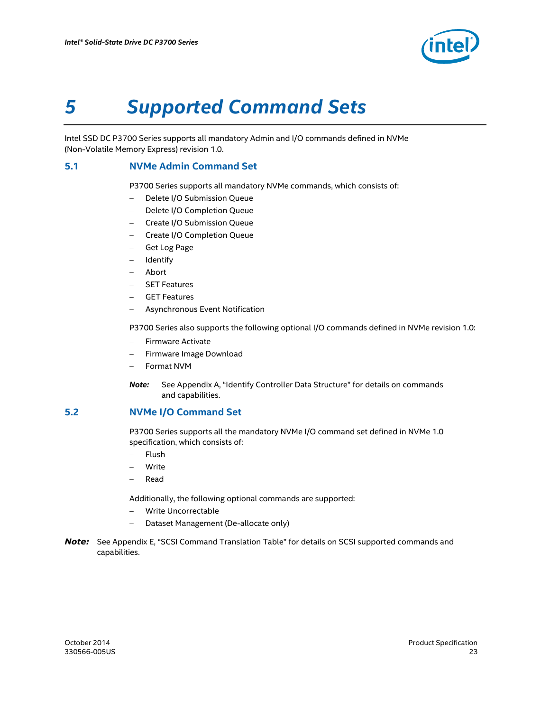

## <span id="page-22-0"></span>*5 Supported Command Sets*

Intel SSD DC P3700 Series supports all mandatory Admin and I/O commands defined in NVMe (Non-Volatile Memory Express) revision 1.0.

#### <span id="page-22-1"></span>**5.1 NVMe Admin Command Set**

P3700 Series supports all mandatory NVMe commands, which consists of:

- Delete I/O Submission Queue
- Delete I/O Completion Queue
- Create I/O Submission Queue
- Create I/O Completion Queue
- Get Log Page
- Identify
- Abort
- SET Features
- GET Features
- Asynchronous Event Notification

P3700 Series also supports the following optional I/O commands defined in NVMe revision 1.0:

- Firmware Activate
- Firmware Image Download
- Format NVM
- *Note:* See Appendix A, "Identify Controller Data Structure" for details on commands and capabilities.

#### <span id="page-22-2"></span>**5.2 NVMe I/O Command Set**

P3700 Series supports all the mandatory NVMe I/O command set defined in NVMe 1.0 specification, which consists of:

- Flush
- Write
- Read

Additionally, the following optional commands are supported:

- Write Uncorrectable
- Dataset Management (De-allocate only)
- *Note:* See Appendix E, "SCSI Command Translation Table" for details on SCSI supported commands and capabilities.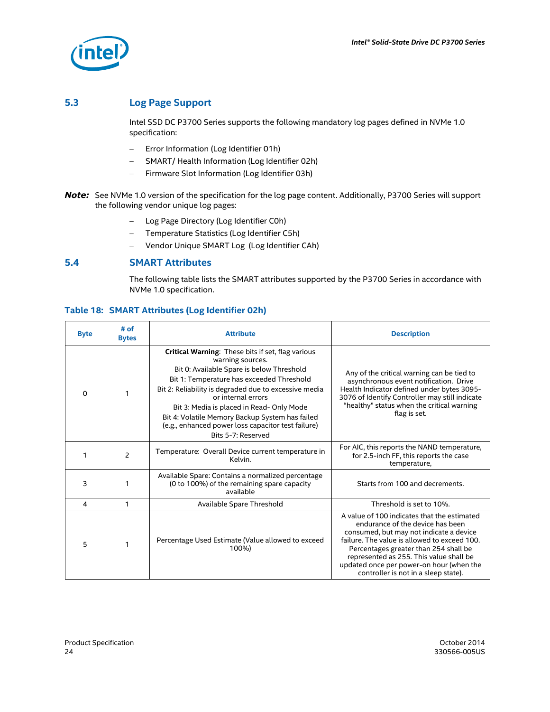

#### <span id="page-23-0"></span>**5.3 Log Page Support**

Intel SSD DC P3700 Series supports the following mandatory log pages defined in NVMe 1.0 specification:

- Error Information (Log Identifier 01h)
- SMART/ Health Information (Log Identifier 02h)
- Firmware Slot Information (Log Identifier 03h)
- *Note:* See NVMe 1.0 version of the specification for the log page content. Additionally, P3700 Series will support the following vendor unique log pages:
	- Log Page Directory (Log Identifier C0h)
	- Temperature Statistics (Log Identifier C5h)
	- Vendor Unique SMART Log (Log Identifier CAh)

#### <span id="page-23-1"></span>**5.4 SMART Attributes**

The following table lists the SMART attributes supported by the P3700 Series in accordance with NVMe 1.0 specification.

#### **Table 18: SMART Attributes (Log Identifier 02h)**

| <b>Byte</b> | # of<br><b>Bytes</b> | <b>Attribute</b>                                                                                                                                                                                                                                                                                                                                                                                                           | <b>Description</b>                                                                                                                                                                                                                                 |
|-------------|----------------------|----------------------------------------------------------------------------------------------------------------------------------------------------------------------------------------------------------------------------------------------------------------------------------------------------------------------------------------------------------------------------------------------------------------------------|----------------------------------------------------------------------------------------------------------------------------------------------------------------------------------------------------------------------------------------------------|
| $\Omega$    | 1                    | Critical Warning: These bits if set, flag various<br>warning sources.<br>Bit 0: Available Spare is below Threshold<br>Bit 1: Temperature has exceeded Threshold<br>Bit 2: Reliability is degraded due to excessive media<br>or internal errors<br>Bit 3: Media is placed in Read- Only Mode<br>Bit 4: Volatile Memory Backup System has failed<br>(e.g., enhanced power loss capacitor test failure)<br>Bits 5-7: Reserved | Any of the critical warning can be tied to<br>asynchronous event notification. Drive<br>Health Indicator defined under bytes 3095-<br>3076 of Identify Controller may still indicate<br>"healthy" status when the critical warning<br>flag is set. |
| 1           | $\overline{c}$       | For AIC, this reports the NAND temperature,<br>Temperature: Overall Device current temperature in<br>for 2.5-inch FF, this reports the case<br>Kelvin.<br>temperature,                                                                                                                                                                                                                                                     |                                                                                                                                                                                                                                                    |
| 3           | 1                    | Available Spare: Contains a normalized percentage<br>(0 to 100%) of the remaining spare capacity<br>available                                                                                                                                                                                                                                                                                                              | Starts from 100 and decrements.                                                                                                                                                                                                                    |
| 4           | 1                    | Available Spare Threshold                                                                                                                                                                                                                                                                                                                                                                                                  | Threshold is set to 10%.                                                                                                                                                                                                                           |
| 5           | 1                    | A value of 100 indicates that the estimated<br>endurance of the device has been<br>consumed, but may not indicate a device<br>Percentage Used Estimate (Value allowed to exceed<br>failure. The value is allowed to exceed 100.<br>Percentages greater than 254 shall be<br>100%)<br>represented as 255. This value shall be<br>updated once per power-on hour (when the<br>controller is not in a sleep state).           |                                                                                                                                                                                                                                                    |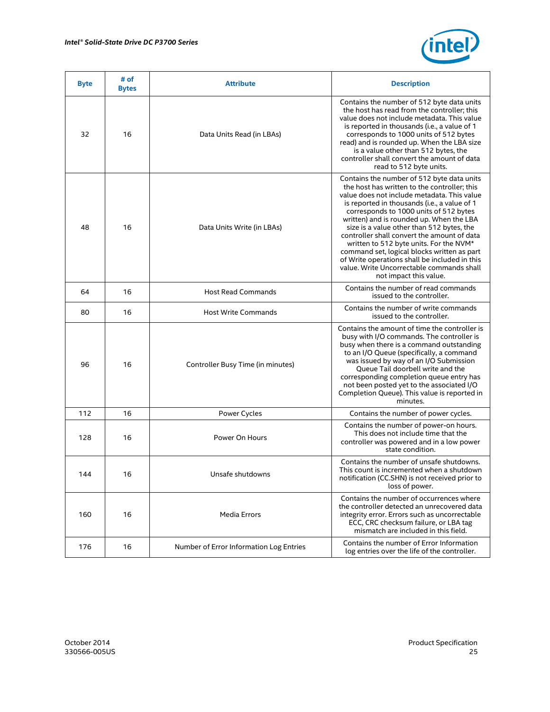

| <b>Byte</b> | # of<br><b>Bytes</b> | <b>Attribute</b><br><b>Description</b>                                                                                                                                        |                                                                                                                                                                                                                                                                                                                                                                                                                                                                                                                                                                                               |  |
|-------------|----------------------|-------------------------------------------------------------------------------------------------------------------------------------------------------------------------------|-----------------------------------------------------------------------------------------------------------------------------------------------------------------------------------------------------------------------------------------------------------------------------------------------------------------------------------------------------------------------------------------------------------------------------------------------------------------------------------------------------------------------------------------------------------------------------------------------|--|
| 32          | 16                   | Data Units Read (in LBAs)                                                                                                                                                     | Contains the number of 512 byte data units<br>the host has read from the controller; this<br>value does not include metadata. This value<br>is reported in thousands (i.e., a value of 1<br>corresponds to 1000 units of 512 bytes<br>read) and is rounded up. When the LBA size<br>is a value other than 512 bytes, the<br>controller shall convert the amount of data<br>read to 512 byte units.                                                                                                                                                                                            |  |
| 48          | 16                   | Data Units Write (in LBAs)                                                                                                                                                    | Contains the number of 512 byte data units<br>the host has written to the controller; this<br>value does not include metadata. This value<br>is reported in thousands (i.e., a value of 1<br>corresponds to 1000 units of 512 bytes<br>written) and is rounded up. When the LBA<br>size is a value other than 512 bytes, the<br>controller shall convert the amount of data<br>written to 512 byte units. For the NVM*<br>command set, logical blocks written as part<br>of Write operations shall be included in this<br>value. Write Uncorrectable commands shall<br>not impact this value. |  |
| 64          | 16                   | Contains the number of read commands<br><b>Host Read Commands</b><br>issued to the controller.                                                                                |                                                                                                                                                                                                                                                                                                                                                                                                                                                                                                                                                                                               |  |
| 80          | 16                   | Contains the number of write commands<br><b>Host Write Commands</b><br>issued to the controller.                                                                              |                                                                                                                                                                                                                                                                                                                                                                                                                                                                                                                                                                                               |  |
| 96          | 16                   | Controller Busy Time (in minutes)                                                                                                                                             | Contains the amount of time the controller is<br>busy with I/O commands. The controller is<br>busy when there is a command outstanding<br>to an I/O Queue (specifically, a command<br>was issued by way of an I/O Submission<br>Queue Tail doorbell write and the<br>corresponding completion queue entry has<br>not been posted yet to the associated I/O<br>Completion Queue). This value is reported in<br>minutes.                                                                                                                                                                        |  |
| 112         | 16                   | Power Cycles<br>Contains the number of power cycles.                                                                                                                          |                                                                                                                                                                                                                                                                                                                                                                                                                                                                                                                                                                                               |  |
| 128         | 16                   | Contains the number of power-on hours.<br>This does not include time that the<br>Power On Hours<br>controller was powered and in a low power<br>state condition.              |                                                                                                                                                                                                                                                                                                                                                                                                                                                                                                                                                                                               |  |
| 144         | 16                   | Contains the number of unsafe shutdowns.<br>This count is incremented when a shutdown<br>Unsafe shutdowns<br>notification (CC.SHN) is not received prior to<br>loss of power. |                                                                                                                                                                                                                                                                                                                                                                                                                                                                                                                                                                                               |  |
| 160         | 16                   | Media Errors                                                                                                                                                                  | Contains the number of occurrences where<br>the controller detected an unrecovered data<br>integrity error. Errors such as uncorrectable<br>ECC, CRC checksum failure, or LBA tag<br>mismatch are included in this field.                                                                                                                                                                                                                                                                                                                                                                     |  |
| 176         | 16                   | Number of Error Information Log Entries                                                                                                                                       | Contains the number of Error Information<br>log entries over the life of the controller.                                                                                                                                                                                                                                                                                                                                                                                                                                                                                                      |  |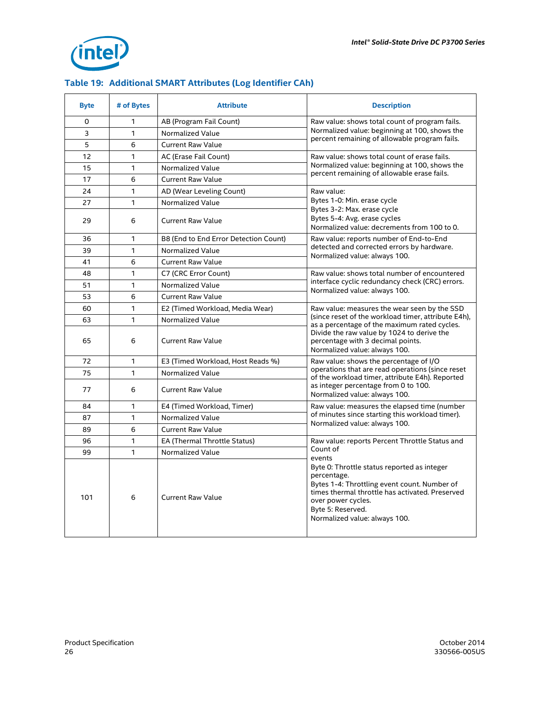

<span id="page-25-0"></span>

| <b>Byte</b> | # of Bytes | <b>Attribute</b>                      | <b>Description</b>                                                                                                                                                                                                                        |
|-------------|------------|---------------------------------------|-------------------------------------------------------------------------------------------------------------------------------------------------------------------------------------------------------------------------------------------|
| 0           | 1          | AB (Program Fail Count)               | Raw value: shows total count of program fails.                                                                                                                                                                                            |
| 3           | 1          | Normalized Value                      | Normalized value: beginning at 100, shows the                                                                                                                                                                                             |
| 5           | 6          | <b>Current Raw Value</b>              | percent remaining of allowable program fails.                                                                                                                                                                                             |
| 12          | 1          | AC (Erase Fail Count)                 | Raw value: shows total count of erase fails.                                                                                                                                                                                              |
| 15          | 1          | <b>Normalized Value</b>               | Normalized value: beginning at 100, shows the                                                                                                                                                                                             |
| 17          | 6          | <b>Current Raw Value</b>              | percent remaining of allowable erase fails.                                                                                                                                                                                               |
| 24          | 1          | AD (Wear Leveling Count)              | Raw value:                                                                                                                                                                                                                                |
| 27          | 1          | Normalized Value                      | Bytes 1-0: Min. erase cycle                                                                                                                                                                                                               |
| 29          | 6          | <b>Current Raw Value</b>              | Bytes 3-2: Max. erase cycle<br>Bytes 5-4: Avg. erase cycles<br>Normalized value: decrements from 100 to 0.                                                                                                                                |
| 36          | 1          | B8 (End to End Error Detection Count) | Raw value: reports number of End-to-End                                                                                                                                                                                                   |
| 39          | 1          | Normalized Value                      | detected and corrected errors by hardware.<br>Normalized value: always 100.                                                                                                                                                               |
| 41          | 6          | <b>Current Raw Value</b>              |                                                                                                                                                                                                                                           |
| 48          | 1          | C7 (CRC Error Count)                  | Raw value: shows total number of encountered                                                                                                                                                                                              |
| 51          | 1          | Normalized Value                      | interface cyclic redundancy check (CRC) errors.<br>Normalized value: always 100.                                                                                                                                                          |
| 53          | 6          | <b>Current Raw Value</b>              |                                                                                                                                                                                                                                           |
| 60          | 1          | E2 (Timed Workload, Media Wear)       | Raw value: measures the wear seen by the SSD                                                                                                                                                                                              |
| 63          | 1          | <b>Normalized Value</b>               | (since reset of the workload timer, attribute E4h),<br>as a percentage of the maximum rated cycles.                                                                                                                                       |
| 65          | 6          | <b>Current Raw Value</b>              | Divide the raw value by 1024 to derive the<br>percentage with 3 decimal points.<br>Normalized value: always 100.                                                                                                                          |
| 72          | 1          | E3 (Timed Workload, Host Reads %)     | Raw value: shows the percentage of I/O                                                                                                                                                                                                    |
| 75          | 1          | Normalized Value                      | operations that are read operations (since reset<br>of the workload timer, attribute E4h). Reported                                                                                                                                       |
| 77          | 6          | <b>Current Raw Value</b>              | as integer percentage from 0 to 100.<br>Normalized value: always 100.                                                                                                                                                                     |
| 84          | 1          | E4 (Timed Workload, Timer)            | Raw value: measures the elapsed time (number                                                                                                                                                                                              |
| 87          | 1          | Normalized Value                      | of minutes since starting this workload timer).<br>Normalized value: always 100.                                                                                                                                                          |
| 89          | 6          | <b>Current Raw Value</b>              |                                                                                                                                                                                                                                           |
| 96          | 1          | EA (Thermal Throttle Status)          | Raw value: reports Percent Throttle Status and                                                                                                                                                                                            |
| 99          | 1          | <b>Normalized Value</b>               | Count of<br>events                                                                                                                                                                                                                        |
| 101         | 6          | <b>Current Raw Value</b>              | Byte 0: Throttle status reported as integer<br>percentage.<br>Bytes 1-4: Throttling event count. Number of<br>times thermal throttle has activated. Preserved<br>over power cycles.<br>Byte 5: Reserved.<br>Normalized value: always 100. |

#### **Table 19: Additional SMART Attributes (Log Identifier CAh)**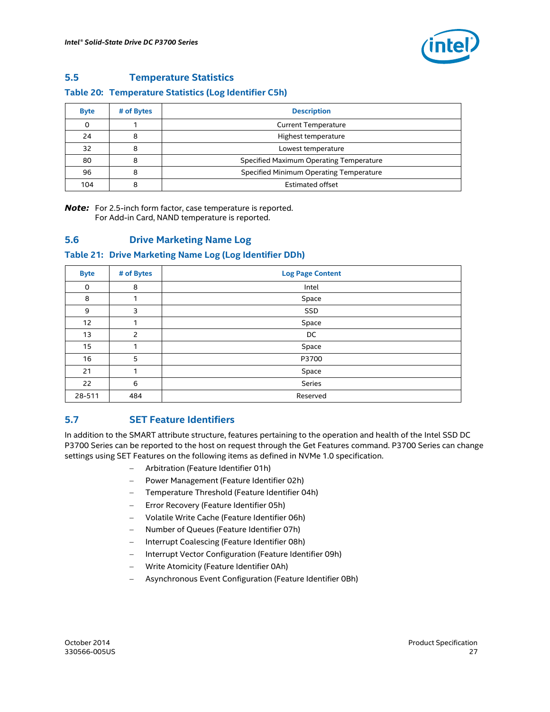

#### **5.5 Temperature Statistics**

#### **Table 20: Temperature Statistics (Log Identifier C5h)**

| <b>Byte</b> | # of Bytes | <b>Description</b>                      |
|-------------|------------|-----------------------------------------|
| 0           |            | <b>Current Temperature</b>              |
| 24          |            | Highest temperature                     |
| 32          |            | Lowest temperature                      |
| 80          |            | Specified Maximum Operating Temperature |
| 96          |            | Specified Minimum Operating Temperature |
| 104         |            | <b>Estimated offset</b>                 |

*Note:* For 2.5-inch form factor, case temperature is reported. For Add-in Card, NAND temperature is reported.

#### <span id="page-26-0"></span>**5.6 Drive Marketing Name Log**

#### **Table 21: Drive Marketing Name Log (Log Identifier DDh)**

| <b>Byte</b> | # of Bytes     | <b>Log Page Content</b> |
|-------------|----------------|-------------------------|
| 0           | 8              | Intel                   |
| 8           |                | Space                   |
| 9           | 3              | SSD                     |
| 12          |                | Space                   |
| 13          | $\overline{c}$ | DC                      |
| 15          |                | Space                   |
| 16          | 5              | P3700                   |
| 21          |                | Space                   |
| 22          | 6              | Series                  |
| 28-511      | 484            | Reserved                |

#### <span id="page-26-1"></span>**5.7 SET Feature Identifiers**

In addition to the SMART attribute structure, features pertaining to the operation and health of the Intel SSD DC P3700 Series can be reported to the host on request through the Get Features command. P3700 Series can change settings using SET Features on the following items as defined in NVMe 1.0 specification.

- Arbitration (Feature Identifier 01h)
- Power Management (Feature Identifier 02h)
- Temperature Threshold (Feature Identifier 04h)
- Error Recovery (Feature Identifier 05h)
- Volatile Write Cache (Feature Identifier 06h)
- Number of Queues (Feature Identifier 07h)
- Interrupt Coalescing (Feature Identifier 08h)
- Interrupt Vector Configuration (Feature Identifier 09h)
- Write Atomicity (Feature Identifier 0Ah)
- Asynchronous Event Configuration (Feature Identifier 0Bh)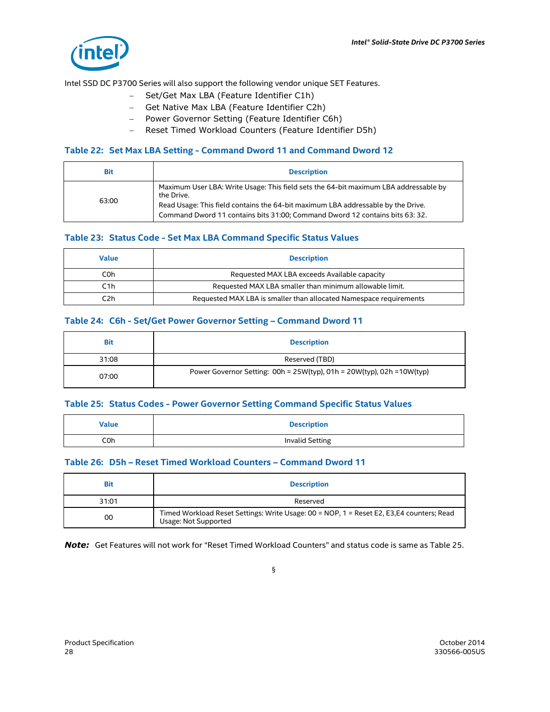

Intel SSD DC P3700 Series will also support the following vendor unique SET Features.

- Set/Get Max LBA (Feature Identifier C1h)
- Get Native Max LBA (Feature Identifier C2h)
- Power Governor Setting (Feature Identifier C6h)
- Reset Timed Workload Counters (Feature Identifier D5h)

#### **Table 22: Set Max LBA Setting - Command Dword 11 and Command Dword 12**

| <b>Bit</b> | <b>Description</b>                                                                                                                                               |
|------------|------------------------------------------------------------------------------------------------------------------------------------------------------------------|
|            | Maximum User LBA: Write Usage: This field sets the 64-bit maximum LBA addressable by<br>the Drive.                                                               |
| 63:00      | Read Usage: This field contains the 64-bit maximum LBA addressable by the Drive.<br>Command Dword 11 contains bits 31:00; Command Dword 12 contains bits 63: 32. |

#### **Table 23: Status Code - Set Max LBA Command Specific Status Values**

| Value | <b>Description</b>                                                 |
|-------|--------------------------------------------------------------------|
| COh   | Requested MAX LBA exceeds Available capacity                       |
| C1h   | Requested MAX LBA smaller than minimum allowable limit.            |
| C2h   | Requested MAX LBA is smaller than allocated Namespace requirements |

#### **Table 24: C6h - Set/Get Power Governor Setting – Command Dword 11**

| <b>Bit</b> | <b>Description</b>                                                     |
|------------|------------------------------------------------------------------------|
| 31:08      | Reserved (TBD)                                                         |
| 07:00      | Power Governor Setting: 00h = 25W(typ), 01h = 20W(typ), 02h = 10W(typ) |

#### **Table 25: Status Codes - Power Governor Setting Command Specific Status Values**

| Value | <b>Description</b>     |
|-------|------------------------|
| COh   | <b>Invalid Setting</b> |

#### **Table 26: D5h – Reset Timed Workload Counters – Command Dword 11**

| Bit   | <b>Description</b>                                                                                                |
|-------|-------------------------------------------------------------------------------------------------------------------|
| 31:01 | Reserved                                                                                                          |
| 00    | Timed Workload Reset Settings: Write Usage: 00 = NOP, 1 = Reset E2, E3, E4 counters; Read<br>Usage: Not Supported |

*Note:* Get Features will not work for "Reset Timed Workload Counters" and status code is same as Table 25.

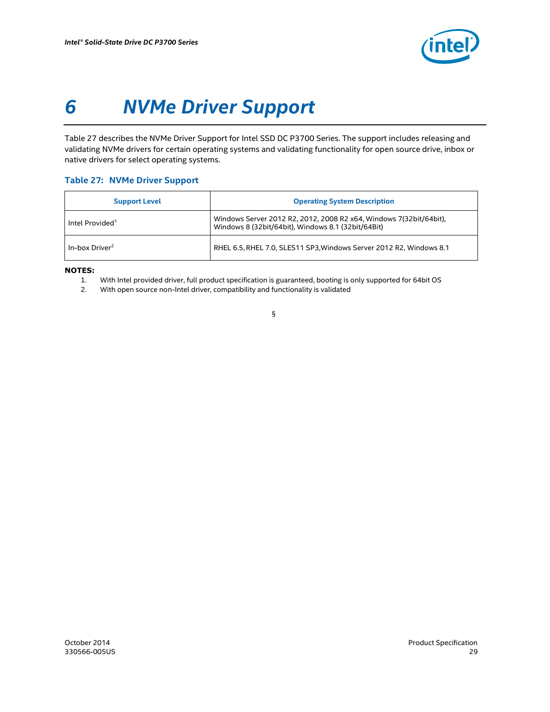

## <span id="page-28-0"></span>*6 NVMe Driver Support*

Table 27 describes the NVMe Driver Support for Intel SSD DC P3700 Series. The support includes releasing and validating NVMe drivers for certain operating systems and validating functionality for open source drive, inbox or native drivers for select operating systems.

#### **Table 27: NVMe Driver Support**

| <b>Support Level</b>        | <b>Operating System Description</b>                                                                                      |
|-----------------------------|--------------------------------------------------------------------------------------------------------------------------|
| Intel Provided <sup>1</sup> | Windows Server 2012 R2, 2012, 2008 R2 x64, Windows 7(32bit/64bit),<br>Windows 8 (32bit/64bit), Windows 8.1 (32bit/64Bit) |
| In-box Driver <sup>2</sup>  | RHEL 6.5, RHEL 7.0, SLES11 SP3, Windows Server 2012 R2, Windows 8.1                                                      |

#### **NOTES:**

- 1. With Intel provided driver, full product specification is guaranteed, booting is only supported for 64bit OS
- 2. With open source non-Intel driver, compatibility and functionality is validated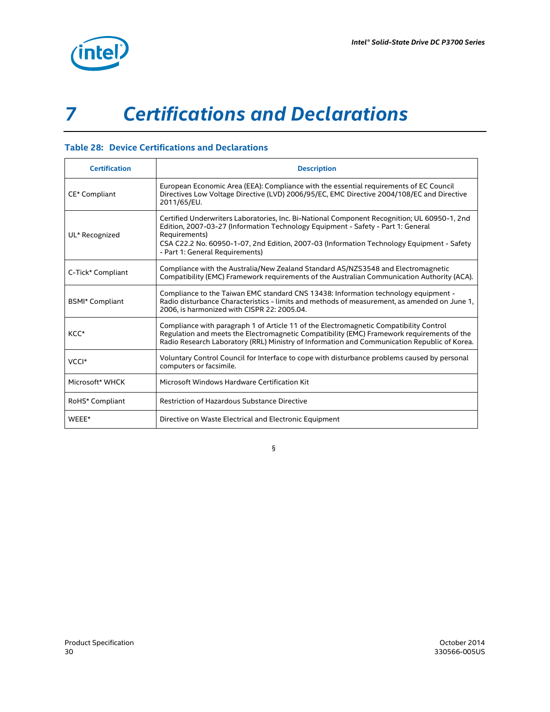

# <span id="page-29-0"></span>*7 Certifications and Declarations*

#### **Table 28: Device Certifications and Declarations**

| <b>Certification</b>   | <b>Description</b>                                                                                                                                                                                                                                                                                                                |
|------------------------|-----------------------------------------------------------------------------------------------------------------------------------------------------------------------------------------------------------------------------------------------------------------------------------------------------------------------------------|
| CE* Compliant          | European Economic Area (EEA): Compliance with the essential requirements of EC Council<br>Directives Low Voltage Directive (LVD) 2006/95/EC, EMC Directive 2004/108/EC and Directive<br>2011/65/EU.                                                                                                                               |
| UL* Recognized         | Certified Underwriters Laboratories, Inc. Bi-National Component Recognition; UL 60950-1, 2nd<br>Edition, 2007-03-27 (Information Technology Equipment - Safety - Part 1: General<br>Requirements)<br>CSA C22.2 No. 60950-1-07, 2nd Edition, 2007-03 (Information Technology Equipment - Safety<br>- Part 1: General Requirements) |
| C-Tick* Compliant      | Compliance with the Australia/New Zealand Standard AS/NZS3548 and Electromagnetic<br>Compatibility (EMC) Framework requirements of the Australian Communication Authority (ACA).                                                                                                                                                  |
| <b>BSMI* Compliant</b> | Compliance to the Taiwan EMC standard CNS 13438: Information technology equipment -<br>Radio disturbance Characteristics - limits and methods of measurement, as amended on June 1,<br>2006, is harmonized with CISPR 22: 2005.04.                                                                                                |
| KCC*                   | Compliance with paragraph 1 of Article 11 of the Electromagnetic Compatibility Control<br>Regulation and meets the Electromagnetic Compatibility (EMC) Framework requirements of the<br>Radio Research Laboratory (RRL) Ministry of Information and Communication Republic of Korea.                                              |
| VCCI*                  | Voluntary Control Council for Interface to cope with disturbance problems caused by personal<br>computers or facsimile.                                                                                                                                                                                                           |
| Microsoft* WHCK        | Microsoft Windows Hardware Certification Kit                                                                                                                                                                                                                                                                                      |
| RoHS* Compliant        | <b>Restriction of Hazardous Substance Directive</b>                                                                                                                                                                                                                                                                               |
| WEEE*                  | Directive on Waste Electrical and Electronic Equipment                                                                                                                                                                                                                                                                            |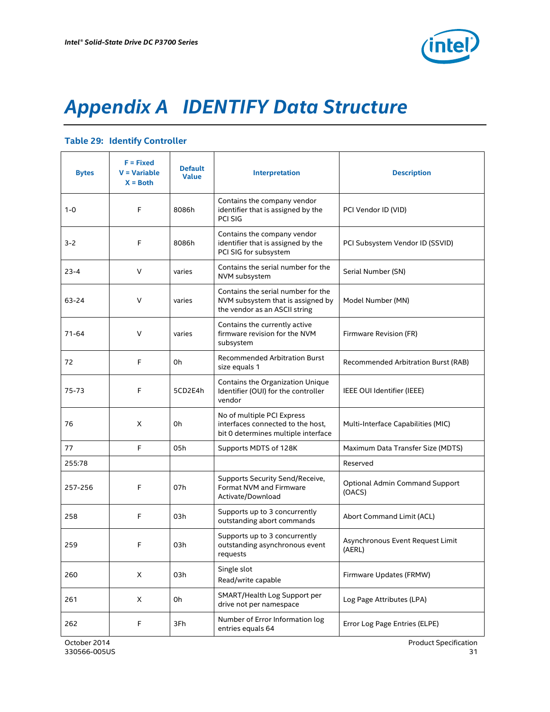

## <span id="page-30-0"></span>*Appendix A IDENTIFY Data Structure*

#### **Table 29: Identify Controller**

| <b>Bytes</b> | $F =$ Fixed<br>V = Variable<br>$X = Both$ | <b>Default</b><br><b>Value</b> | <b>Interpretation</b>                                                                                    | <b>Description</b>                         |
|--------------|-------------------------------------------|--------------------------------|----------------------------------------------------------------------------------------------------------|--------------------------------------------|
| $1 - 0$      | F                                         | 8086h                          | Contains the company vendor<br>identifier that is assigned by the<br><b>PCI SIG</b>                      | PCI Vendor ID (VID)                        |
| $3 - 2$      | F                                         | 8086h                          | Contains the company vendor<br>identifier that is assigned by the<br>PCI SIG for subsystem               | PCI Subsystem Vendor ID (SSVID)            |
| $23 - 4$     | V                                         | varies                         | Contains the serial number for the<br>NVM subsystem                                                      | Serial Number (SN)                         |
| $63 - 24$    | V                                         | varies                         | Contains the serial number for the<br>NVM subsystem that is assigned by<br>the vendor as an ASCII string | Model Number (MN)                          |
| $71 - 64$    | $\vee$                                    | varies                         | Contains the currently active<br>firmware revision for the NVM<br>subsystem                              | Firmware Revision (FR)                     |
| 72           | F                                         | 0h                             | <b>Recommended Arbitration Burst</b><br>size equals 1                                                    | Recommended Arbitration Burst (RAB)        |
| $75 - 73$    | F                                         | 5CD2E4h                        | Contains the Organization Unique<br>Identifier (OUI) for the controller<br>vendor                        | IEEE OUI Identifier (IEEE)                 |
| 76           | Χ                                         | 0h                             | No of multiple PCI Express<br>interfaces connected to the host,<br>bit 0 determines multiple interface   | Multi-Interface Capabilities (MIC)         |
| 77           | F                                         | 05h                            | Supports MDTS of 128K                                                                                    | Maximum Data Transfer Size (MDTS)          |
| 255:78       |                                           |                                |                                                                                                          | Reserved                                   |
| 257-256      | F                                         | 07h                            | Supports Security Send/Receive,<br>Format NVM and Firmware<br>Activate/Download                          | Optional Admin Command Support<br>(OACS)   |
| 258          | F                                         | 03h                            | Supports up to 3 concurrently<br>outstanding abort commands                                              | Abort Command Limit (ACL)                  |
| 259          | F                                         | 03h                            | Supports up to 3 concurrently<br>outstanding asynchronous event<br>requests                              | Asynchronous Event Request Limit<br>(AERL) |
| 260          | X                                         | 03h                            | Single slot<br>Read/write capable                                                                        | Firmware Updates (FRMW)                    |
| 261          | Χ                                         | 0h                             | SMART/Health Log Support per<br>drive not per namespace                                                  | Log Page Attributes (LPA)                  |
| 262          | F                                         | 3Fh                            | Number of Error Information log<br>entries equals 64                                                     | Error Log Page Entries (ELPE)              |

October 2014 **Product Specification**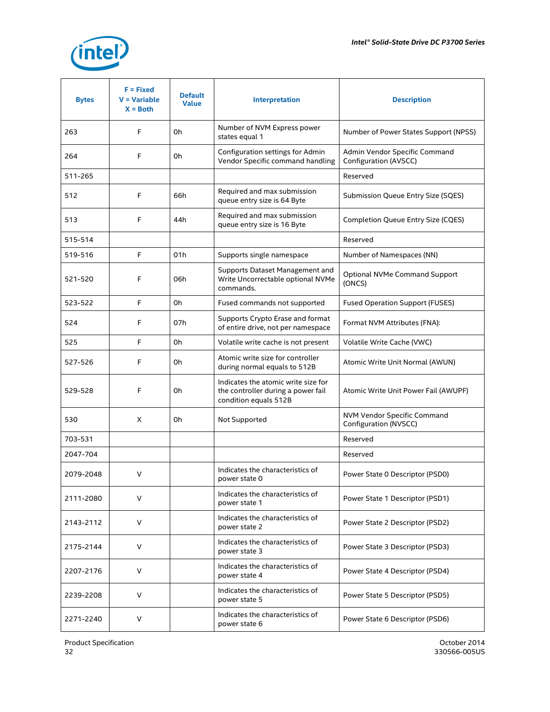

| <b>Bytes</b> | $F =$ Fixed<br>V = Variable<br>$X = Both$ | <b>Default</b><br><b>Value</b> | <b>Interpretation</b>                                                                              | <b>Description</b>                                     |
|--------------|-------------------------------------------|--------------------------------|----------------------------------------------------------------------------------------------------|--------------------------------------------------------|
| 263          | F                                         | 0h                             | Number of NVM Express power<br>states equal 1                                                      | Number of Power States Support (NPSS)                  |
| 264          | F                                         | 0h                             | Configuration settings for Admin<br>Vendor Specific command handling                               | Admin Vendor Specific Command<br>Configuration (AVSCC) |
| 511-265      |                                           |                                |                                                                                                    | Reserved                                               |
| 512          | F                                         | 66h                            | Required and max submission<br>queue entry size is 64 Byte                                         | Submission Queue Entry Size (SQES)                     |
| 513          | F                                         | 44h                            | Required and max submission<br>queue entry size is 16 Byte                                         | Completion Queue Entry Size (CQES)                     |
| 515-514      |                                           |                                |                                                                                                    | Reserved                                               |
| 519-516      | F                                         | 01h                            | Supports single namespace                                                                          | Number of Namespaces (NN)                              |
| 521-520      | F                                         | 06h                            | Supports Dataset Management and<br>Write Uncorrectable optional NVMe<br>commands.                  | Optional NVMe Command Support<br>(ONCS)                |
| 523-522      | F                                         | 0h                             | Fused commands not supported                                                                       | <b>Fused Operation Support (FUSES)</b>                 |
| 524          | F                                         | 07h                            | Supports Crypto Erase and format<br>of entire drive, not per namespace                             | Format NVM Attributes (FNA):                           |
| 525          | F                                         | 0h                             | Volatile write cache is not present                                                                | Volatile Write Cache (VWC)                             |
| 527-526      | F                                         | 0h                             | Atomic write size for controller<br>during normal equals to 512B                                   | Atomic Write Unit Normal (AWUN)                        |
| 529-528      | F                                         | 0h                             | Indicates the atomic write size for<br>the controller during a power fail<br>condition equals 512B | Atomic Write Unit Power Fail (AWUPF)                   |
| 530          | X                                         | 0h                             | Not Supported                                                                                      | NVM Vendor Specific Command<br>Configuration (NVSCC)   |
| 703-531      |                                           |                                |                                                                                                    | Reserved                                               |
| 2047-704     |                                           |                                |                                                                                                    | Reserved                                               |
| 2079-2048    | v                                         |                                | Indicates the characteristics of<br>power state 0                                                  | Power State 0 Descriptor (PSD0)                        |
| 2111-2080    | V                                         |                                | Indicates the characteristics of<br>power state 1                                                  | Power State 1 Descriptor (PSD1)                        |
| 2143-2112    | V                                         |                                | Indicates the characteristics of<br>power state 2                                                  | Power State 2 Descriptor (PSD2)                        |
| 2175-2144    | V                                         |                                | Indicates the characteristics of<br>power state 3                                                  | Power State 3 Descriptor (PSD3)                        |
| 2207-2176    | V                                         |                                | Indicates the characteristics of<br>power state 4                                                  | Power State 4 Descriptor (PSD4)                        |
| 2239-2208    | V                                         |                                | Indicates the characteristics of<br>power state 5                                                  | Power State 5 Descriptor (PSD5)                        |
| 2271-2240    | V                                         |                                | Indicates the characteristics of<br>power state 6                                                  | Power State 6 Descriptor (PSD6)                        |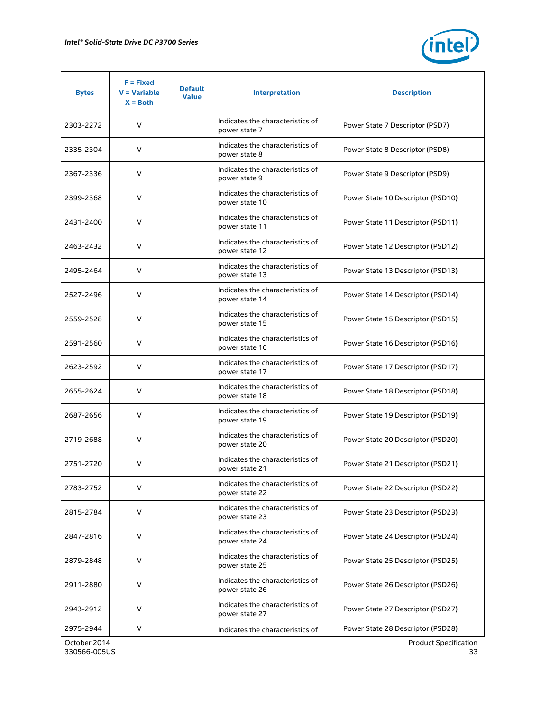

| <b>Bytes</b> | $F = Fixed$<br>V = Variable<br>$X = Both$ | <b>Default</b><br><b>Value</b> | <b>Interpretation</b>                              | <b>Description</b>                |
|--------------|-------------------------------------------|--------------------------------|----------------------------------------------------|-----------------------------------|
| 2303-2272    | $\vee$                                    |                                | Indicates the characteristics of<br>power state 7  | Power State 7 Descriptor (PSD7)   |
| 2335-2304    | v                                         |                                | Indicates the characteristics of<br>power state 8  | Power State 8 Descriptor (PSD8)   |
| 2367-2336    | V                                         |                                | Indicates the characteristics of<br>power state 9  | Power State 9 Descriptor (PSD9)   |
| 2399-2368    | V                                         |                                | Indicates the characteristics of<br>power state 10 | Power State 10 Descriptor (PSD10) |
| 2431-2400    | V                                         |                                | Indicates the characteristics of<br>power state 11 | Power State 11 Descriptor (PSD11) |
| 2463-2432    | V                                         |                                | Indicates the characteristics of<br>power state 12 | Power State 12 Descriptor (PSD12) |
| 2495-2464    | V                                         |                                | Indicates the characteristics of<br>power state 13 | Power State 13 Descriptor (PSD13) |
| 2527-2496    | v                                         |                                | Indicates the characteristics of<br>power state 14 | Power State 14 Descriptor (PSD14) |
| 2559-2528    | V                                         |                                | Indicates the characteristics of<br>power state 15 | Power State 15 Descriptor (PSD15) |
| 2591-2560    | v                                         |                                | Indicates the characteristics of<br>power state 16 | Power State 16 Descriptor (PSD16) |
| 2623-2592    | V                                         |                                | Indicates the characteristics of<br>power state 17 | Power State 17 Descriptor (PSD17) |
| 2655-2624    | v                                         |                                | Indicates the characteristics of<br>power state 18 | Power State 18 Descriptor (PSD18) |
| 2687-2656    | V                                         |                                | Indicates the characteristics of<br>power state 19 | Power State 19 Descriptor (PSD19) |
| 2719-2688    | V                                         |                                | Indicates the characteristics of<br>power state 20 | Power State 20 Descriptor (PSD20) |
| 2751-2720    | V                                         |                                | Indicates the characteristics of<br>power state 21 | Power State 21 Descriptor (PSD21) |
| 2783-2752    | v                                         |                                | Indicates the characteristics of<br>power state 22 | Power State 22 Descriptor (PSD22) |
| 2815-2784    | V                                         |                                | Indicates the characteristics of<br>power state 23 | Power State 23 Descriptor (PSD23) |
| 2847-2816    | V                                         |                                | Indicates the characteristics of<br>power state 24 | Power State 24 Descriptor (PSD24) |
| 2879-2848    | V                                         |                                | Indicates the characteristics of<br>power state 25 | Power State 25 Descriptor (PSD25) |
| 2911-2880    | V                                         |                                | Indicates the characteristics of<br>power state 26 | Power State 26 Descriptor (PSD26) |
| 2943-2912    | V                                         |                                | Indicates the characteristics of<br>power state 27 | Power State 27 Descriptor (PSD27) |
| 2975-2944    | V                                         |                                | Indicates the characteristics of                   | Power State 28 Descriptor (PSD28) |

330566-005US 33

October 2014 **Product Specification**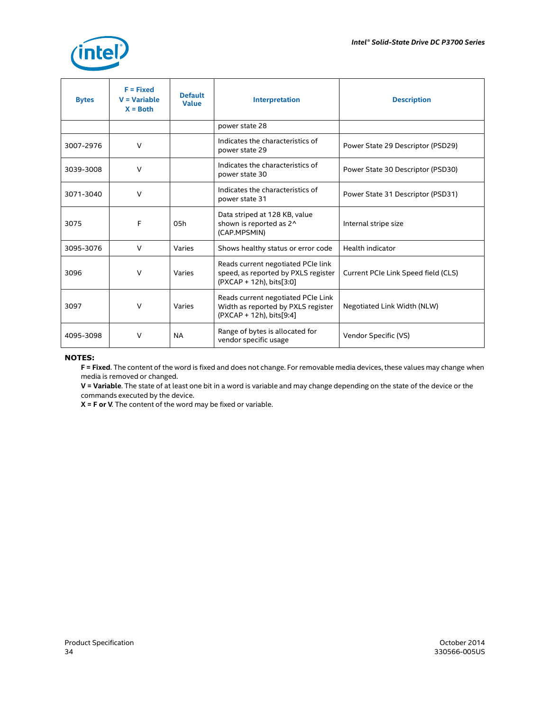

| <b>Bytes</b> | $F =$ Fixed<br>$V = Variable$<br>$X = Both$ | <b>Default</b><br><b>Value</b> | <b>Interpretation</b>                                                                                 | <b>Description</b>                  |
|--------------|---------------------------------------------|--------------------------------|-------------------------------------------------------------------------------------------------------|-------------------------------------|
|              |                                             |                                | power state 28                                                                                        |                                     |
| 3007-2976    | $\vee$                                      |                                | Indicates the characteristics of<br>power state 29                                                    | Power State 29 Descriptor (PSD29)   |
| 3039-3008    | $\vee$                                      |                                | Indicates the characteristics of<br>power state 30                                                    | Power State 30 Descriptor (PSD30)   |
| 3071-3040    | v                                           |                                | Indicates the characteristics of<br>power state 31                                                    | Power State 31 Descriptor (PSD31)   |
| 3075         | F                                           | 05h                            | Data striped at 128 KB, value<br>shown is reported as 2^<br>(CAP.MPSMIN)                              | Internal stripe size                |
| 3095-3076    | $\vee$                                      | Varies                         | Shows healthy status or error code                                                                    | <b>Health indicator</b>             |
| 3096         | $\vee$                                      | Varies                         | Reads current negotiated PCIe link<br>speed, as reported by PXLS register<br>(PXCAP + 12h), bits[3:0] | Current PCIe Link Speed field (CLS) |
| 3097         | $\vee$                                      | Varies                         | Reads current negotiated PCIe Link<br>Width as reported by PXLS register<br>(PXCAP + 12h), bits[9:4]  | Negotiated Link Width (NLW)         |
| 4095-3098    | v                                           | <b>NA</b>                      | Range of bytes is allocated for<br>vendor specific usage                                              | Vendor Specific (VS)                |

#### **NOTES:**

**F = Fixed**. The content of the word is fixed and does not change. For removable media devices, these values may change when media is removed or changed.

**V = Variable**. The state of at least one bit in a word is variable and may change depending on the state of the device or the commands executed by the device.

**X = F or V**. The content of the word may be fixed or variable.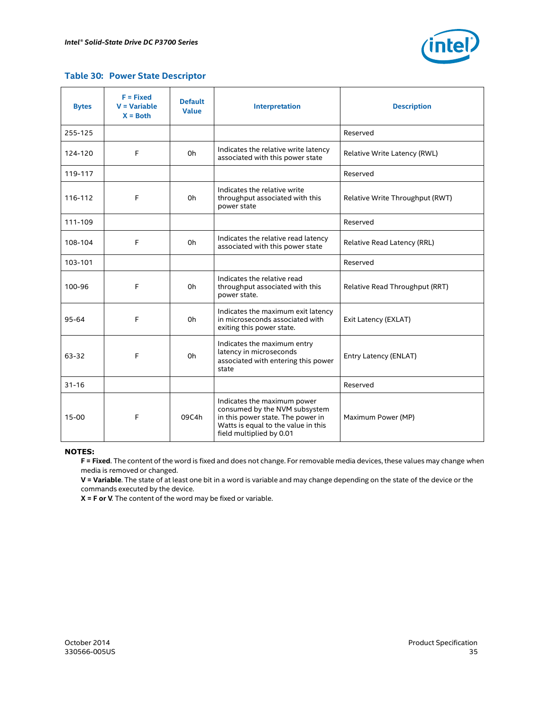

#### **Table 30: Power State Descriptor**

| <b>Bytes</b> | $F =$ Fixed<br>$V = Variable$<br>$X = Both$ | <b>Default</b><br>Value | <b>Interpretation</b>                                                                                                                                                | <b>Description</b>              |
|--------------|---------------------------------------------|-------------------------|----------------------------------------------------------------------------------------------------------------------------------------------------------------------|---------------------------------|
| 255-125      |                                             |                         |                                                                                                                                                                      | Reserved                        |
| 124-120      | F                                           | 0h                      | Indicates the relative write latency<br>associated with this power state                                                                                             | Relative Write Latency (RWL)    |
| 119-117      |                                             |                         |                                                                                                                                                                      | Reserved                        |
| 116-112      | F                                           | 0h                      | Indicates the relative write<br>throughput associated with this<br>power state                                                                                       | Relative Write Throughput (RWT) |
| 111-109      |                                             |                         |                                                                                                                                                                      | Reserved                        |
| 108-104      | F                                           | 0h                      | Indicates the relative read latency<br>associated with this power state                                                                                              | Relative Read Latency (RRL)     |
| 103-101      |                                             |                         |                                                                                                                                                                      | Reserved                        |
| 100-96       | F                                           | 0h                      | Indicates the relative read<br>throughput associated with this<br>power state.                                                                                       | Relative Read Throughput (RRT)  |
| 95-64        | F                                           | 0h                      | Indicates the maximum exit latency<br>in microseconds associated with<br>exiting this power state.                                                                   | Exit Latency (EXLAT)            |
| 63-32        | F                                           | 0h                      | Indicates the maximum entry<br>latency in microseconds<br>associated with entering this power<br>state                                                               | Entry Latency (ENLAT)           |
| $31 - 16$    |                                             |                         |                                                                                                                                                                      | Reserved                        |
| $15-00$      | F                                           | 09C4h                   | Indicates the maximum power<br>consumed by the NVM subsystem<br>in this power state. The power in<br>Watts is equal to the value in this<br>field multiplied by 0.01 | Maximum Power (MP)              |

#### **NOTES:**

**F = Fixed**. The content of the word is fixed and does not change. For removable media devices, these values may change when media is removed or changed.

**V = Variable**. The state of at least one bit in a word is variable and may change depending on the state of the device or the commands executed by the device.

**X = F or V**. The content of the word may be fixed or variable.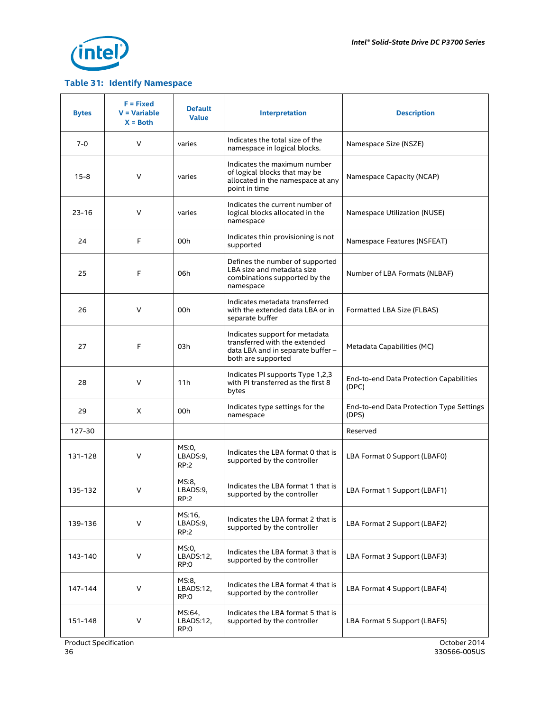

#### **Table 31: Identify Namespace**

| <b>Bytes</b> | $F =$ Fixed<br>V = Variable<br>$X = Both$ | <b>Default</b><br><b>Value</b>    | <b>Interpretation</b>                                                                                                      | <b>Description</b>                                |
|--------------|-------------------------------------------|-----------------------------------|----------------------------------------------------------------------------------------------------------------------------|---------------------------------------------------|
| $7 - 0$      | V                                         | varies                            | Indicates the total size of the<br>namespace in logical blocks.                                                            | Namespace Size (NSZE)                             |
| $15 - 8$     | V                                         | varies                            | Indicates the maximum number<br>of logical blocks that may be<br>allocated in the namespace at any<br>point in time        | Namespace Capacity (NCAP)                         |
| $23 - 16$    | V                                         | varies                            | Indicates the current number of<br>logical blocks allocated in the<br>namespace                                            | Namespace Utilization (NUSE)                      |
| 24           | F                                         | 00h                               | Indicates thin provisioning is not<br>supported                                                                            | Namespace Features (NSFEAT)                       |
| 25           | F                                         | 06h                               | Defines the number of supported<br>LBA size and metadata size<br>combinations supported by the<br>namespace                | Number of LBA Formats (NLBAF)                     |
| 26           | V                                         | 00h                               | Indicates metadata transferred<br>with the extended data LBA or in<br>separate buffer                                      | Formatted LBA Size (FLBAS)                        |
| 27           | F                                         | 03h                               | Indicates support for metadata<br>transferred with the extended<br>data LBA and in separate buffer -<br>both are supported | Metadata Capabilities (MC)                        |
| 28           | V                                         | 11h                               | Indicates PI supports Type 1,2,3<br>with PI transferred as the first 8<br>bytes                                            | End-to-end Data Protection Capabilities<br>(DPC)  |
| 29           | X                                         | 00h                               | Indicates type settings for the<br>namespace                                                                               | End-to-end Data Protection Type Settings<br>(DPS) |
| 127-30       |                                           |                                   |                                                                                                                            | Reserved                                          |
| 131-128      | V                                         | MS:0,<br>LBADS:9,<br>RP:2         | Indicates the LBA format 0 that is<br>supported by the controller                                                          | LBA Format 0 Support (LBAF0)                      |
| 135-132      | V                                         | MS:8,<br>LBADS:9,<br>RP:2         | Indicates the LBA format 1 that is<br>supported by the controller                                                          | LBA Format 1 Support (LBAF1)                      |
| 139-136      | V                                         | MS:16,<br>LBADS:9,<br><b>RP:2</b> | Indicates the LBA format 2 that is<br>supported by the controller                                                          | LBA Format 2 Support (LBAF2)                      |
| 143-140      | $\vee$                                    | MS:0,<br>LBADS:12,<br>RP:0        | Indicates the LBA format 3 that is<br>supported by the controller                                                          | LBA Format 3 Support (LBAF3)                      |
| 147-144      | $\vee$                                    | MS:8,<br>LBADS:12,<br>RP:0        | Indicates the LBA format 4 that is<br>supported by the controller                                                          | LBA Format 4 Support (LBAF4)                      |
| 151-148      | V                                         | MS:64,<br>LBADS:12,<br>RP:0       | Indicates the LBA format 5 that is<br>supported by the controller                                                          | LBA Format 5 Support (LBAF5)                      |

Product Specification **Calculation** October 2014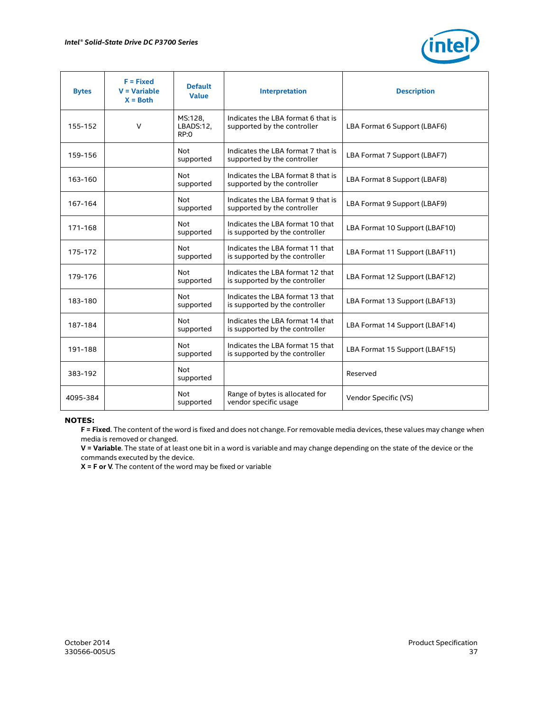

| <b>Bytes</b> | $F =$ Fixed<br>$V = Variable$<br>$X = Both$ | <b>Default</b><br><b>Value</b> | Interpretation                                                     | <b>Description</b>             |
|--------------|---------------------------------------------|--------------------------------|--------------------------------------------------------------------|--------------------------------|
| 155-152      | $\vee$                                      | MS:128,<br>LBADS:12,<br>RP:0   | Indicates the LBA format 6 that is<br>supported by the controller  | LBA Format 6 Support (LBAF6)   |
| 159-156      |                                             | Not<br>supported               | Indicates the LBA format 7 that is<br>supported by the controller  | LBA Format 7 Support (LBAF7)   |
| 163-160      |                                             | Not<br>supported               | Indicates the LBA format 8 that is<br>supported by the controller  | LBA Format 8 Support (LBAF8)   |
| 167-164      |                                             | Not<br>supported               | Indicates the LBA format 9 that is<br>supported by the controller  | LBA Format 9 Support (LBAF9)   |
| 171-168      |                                             | Not<br>supported               | Indicates the LBA format 10 that<br>is supported by the controller | LBA Format 10 Support (LBAF10) |
| 175-172      |                                             | Not<br>supported               | Indicates the LBA format 11 that<br>is supported by the controller | LBA Format 11 Support (LBAF11) |
| 179-176      |                                             | Not<br>supported               | Indicates the LBA format 12 that<br>is supported by the controller | LBA Format 12 Support (LBAF12) |
| 183-180      |                                             | Not<br>supported               | Indicates the LBA format 13 that<br>is supported by the controller | LBA Format 13 Support (LBAF13) |
| 187-184      |                                             | Not<br>supported               | Indicates the LBA format 14 that<br>is supported by the controller | LBA Format 14 Support (LBAF14) |
| 191-188      |                                             | Not<br>supported               | Indicates the LBA format 15 that<br>is supported by the controller | LBA Format 15 Support (LBAF15) |
| 383-192      |                                             | Not<br>supported               |                                                                    | Reserved                       |
| 4095-384     |                                             | Not<br>supported               | Range of bytes is allocated for<br>vendor specific usage           | Vendor Specific (VS)           |

#### **NOTES:**

**F = Fixed**. The content of the word is fixed and does not change. For removable media devices, these values may change when media is removed or changed.

**V = Variable**. The state of at least one bit in a word is variable and may change depending on the state of the device or the commands executed by the device.

**X = F or V**. The content of the word may be fixed or variable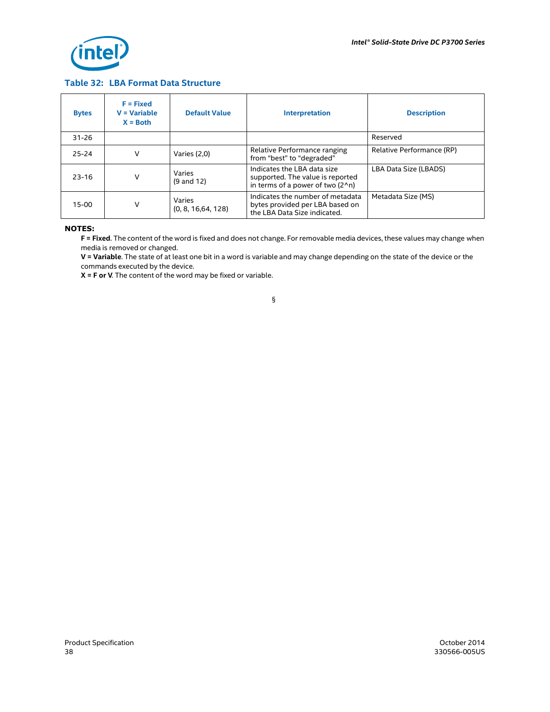

#### **Table 32: LBA Format Data Structure**

| <b>Bytes</b> | $F =$ Fixed<br>$V = Variable$<br>$X = Both$ | <b>Default Value</b>          | <b>Interpretation</b>                                                                                   | <b>Description</b>        |
|--------------|---------------------------------------------|-------------------------------|---------------------------------------------------------------------------------------------------------|---------------------------|
| $31 - 26$    |                                             |                               |                                                                                                         | Reserved                  |
| $25 - 24$    | v                                           | Varies $(2,0)$                | Relative Performance ranging<br>from "best" to "degraded"                                               | Relative Performance (RP) |
| $23-16$      | V                                           | Varies<br>$(9$ and $12)$      | Indicates the LBA data size<br>supported. The value is reported<br>in terms of a power of two $(2^n n)$ | LBA Data Size (LBADS)     |
| $15-00$      | V                                           | Varies<br>(0, 8, 16, 64, 128) | Indicates the number of metadata<br>bytes provided per LBA based on<br>the LBA Data Size indicated.     | Metadata Size (MS)        |

#### **NOTES:**

**F = Fixed**. The content of the word is fixed and does not change. For removable media devices, these values may change when media is removed or changed.

**V = Variable**. The state of at least one bit in a word is variable and may change depending on the state of the device or the commands executed by the device.

**X = F or V**. The content of the word may be fixed or variable.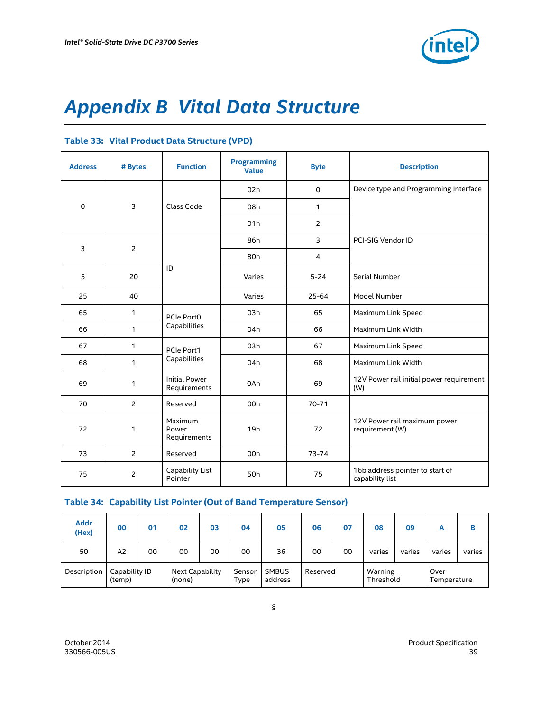

## <span id="page-38-0"></span>*Appendix B Vital Data Structure*

| <b>Address</b> | # Bytes        | <b>Function</b>                      | <b>Programming</b><br><b>Value</b> | <b>Byte</b>    | <b>Description</b>                                 |
|----------------|----------------|--------------------------------------|------------------------------------|----------------|----------------------------------------------------|
|                |                |                                      | 02h                                | $\mathbf 0$    | Device type and Programming Interface              |
| 0              | 3              | Class Code                           | 08h                                | 1              |                                                    |
|                |                |                                      | 01h                                | $\overline{2}$ |                                                    |
| 3              | $\overline{2}$ |                                      | 86h                                | 3              | PCI-SIG Vendor ID                                  |
|                |                |                                      | 80h                                | 4              |                                                    |
| 5              | 20             | ID                                   | Varies                             | $5 - 24$       | Serial Number                                      |
| 25             | 40             |                                      | Varies                             | $25 - 64$      | Model Number                                       |
| 65             | 1              | PCIe Port0                           | 03h                                | 65             | Maximum Link Speed                                 |
| 66             | $\mathbf{1}$   | Capabilities                         | 04h                                | 66             | Maximum Link Width                                 |
| 67             | 1              | PCIe Port1                           | 03h                                | 67             | Maximum Link Speed                                 |
| 68             | 1              | Capabilities                         | 04h                                | 68             | Maximum Link Width                                 |
| 69             | 1              | <b>Initial Power</b><br>Requirements | 0Ah                                | 69             | 12V Power rail initial power requirement<br>(W)    |
| 70             | $\overline{2}$ | Reserved                             | 00h                                | $70 - 71$      |                                                    |
| 72             | 1              | Maximum<br>Power<br>Requirements     | 19h                                | 72             | 12V Power rail maximum power<br>requirement (W)    |
| 73             | $\overline{2}$ | Reserved                             | 00h                                | $73 - 74$      |                                                    |
| 75             | 2              | Capability List<br>Pointer           | 50h                                | 75             | 16b address pointer to start of<br>capability list |

#### **Table 33: Vital Product Data Structure (VPD)**

**Table 34: Capability List Pointer (Out of Band Temperature Sensor)**

| <b>Addr</b><br>(Hex)                   | 00             | 01                               | 02 | 03             | 04                      | 05       | 06 | 07                   | 08     | 09                  | А      |        |
|----------------------------------------|----------------|----------------------------------|----|----------------|-------------------------|----------|----|----------------------|--------|---------------------|--------|--------|
| 50                                     | A <sub>2</sub> | 00                               | 00 | 00             | 00                      | 36       | 00 | 00                   | varies | varies              | varies | varies |
| Capability ID<br>Description<br>(temp) |                | <b>Next Capability</b><br>(none) |    | Sensor<br>Type | <b>SMBUS</b><br>address | Reserved |    | Warning<br>Threshold |        | Over<br>Temperature |        |        |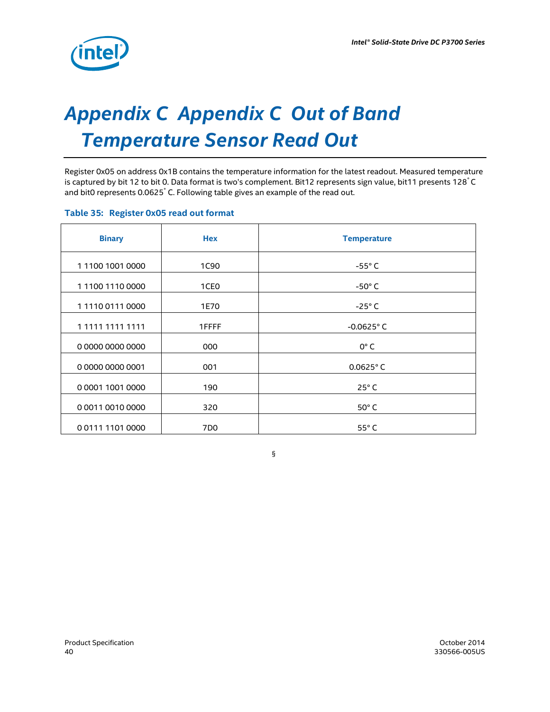

# <span id="page-39-0"></span>*Appendix C Appendix C Out of Band Temperature Sensor Read Out*

Register 0x05 on address 0x1B contains the temperature information for the latest readout. Measured temperature is captured by bit 12 to bit 0. Data format is two's complement. Bit12 represents sign value, bit11 presents 128° C and bit0 represents 0.0625° C. Following table gives an example of the read out.

#### **Table 35: Register 0x05 read out format**

| <b>Binary</b>    | <b>Hex</b>       | <b>Temperature</b> |
|------------------|------------------|--------------------|
| 1110010010000    | 1C90             | $-55^{\circ}$ C    |
| 1110011100000    | 1CE <sub>0</sub> | $-50^{\circ}$ C    |
| 1111001110000    | 1E70             | $-25^\circ$ C      |
| 1111111111111    | 1FFFF            | $-0.0625$ °C       |
| 0 0000 0000 0000 | 000              | $0^{\circ}$ C      |
| 0 0000 0000 0001 | 001              | $0.0625^{\circ}$ C |
| 0 0001 1001 0000 | 190              | $25^{\circ}$ C     |
| 0 0011 0010 0000 | 320              | $50^{\circ}$ C     |
| 0011111010000    | 7D <sub>0</sub>  | $55^{\circ}$ C     |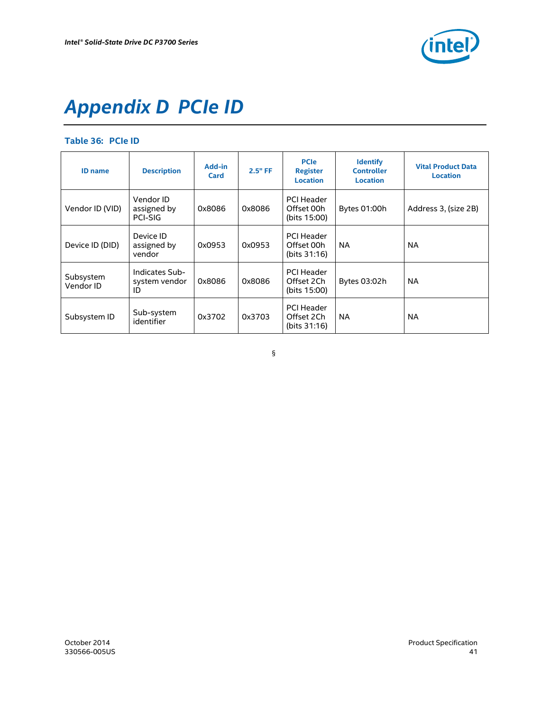

# <span id="page-40-0"></span>*Appendix D PCIe ID*

#### **Table 36: PCIe ID**

| <b>ID</b> name         | <b>Description</b>                    | Add-in<br>Card | $2.5"$ FF | <b>PCIe</b><br><b>Register</b><br><b>Location</b> | <b>Identify</b><br><b>Controller</b><br><b>Location</b> | <b>Vital Product Data</b><br><b>Location</b> |
|------------------------|---------------------------------------|----------------|-----------|---------------------------------------------------|---------------------------------------------------------|----------------------------------------------|
| Vendor ID (VID)        | Vendor ID<br>assigned by<br>PCI-SIG   | 0x8086         | 0x8086    | PCI Header<br>Offset 00h<br>(bits 15:00)          | Bytes 01:00h                                            | Address 3, (size 2B)                         |
| Device ID (DID)        | Device ID<br>assigned by<br>vendor    | 0x0953         | 0x0953    | PCI Header<br>Offset 00h<br>(bits 31:16)          | <b>NA</b>                                               | <b>NA</b>                                    |
| Subsystem<br>Vendor ID | Indicates Sub-<br>system vendor<br>ID | 0x8086         | 0x8086    | PCI Header<br>Offset 2Ch<br>(bits 15:00)          | Bytes 03:02h                                            | <b>NA</b>                                    |
| Subsystem ID           | Sub-system<br>identifier              | 0x3702         | 0x3703    | PCI Header<br>Offset 2Ch<br>(bits 31:16)          | <b>NA</b>                                               | <b>NA</b>                                    |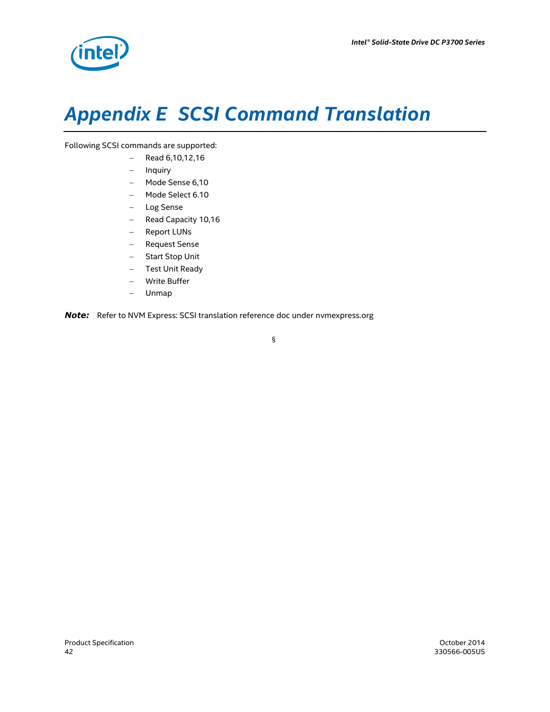

# <span id="page-41-0"></span>*Appendix E SCSI Command Translation*

Following SCSI commands are supported:

- $-$  Read 6,10,12,16
- Inquiry
- Mode Sense 6,10
- Mode Select 6.10
- Log Sense
- Read Capacity 10,16
- Report LUNs
- Request Sense
- Start Stop Unit
- Test Unit Ready
- Write Buffer
- Unmap

*Note:* Refer to NVM Express: SCSI translation reference doc under nvmexpress.org